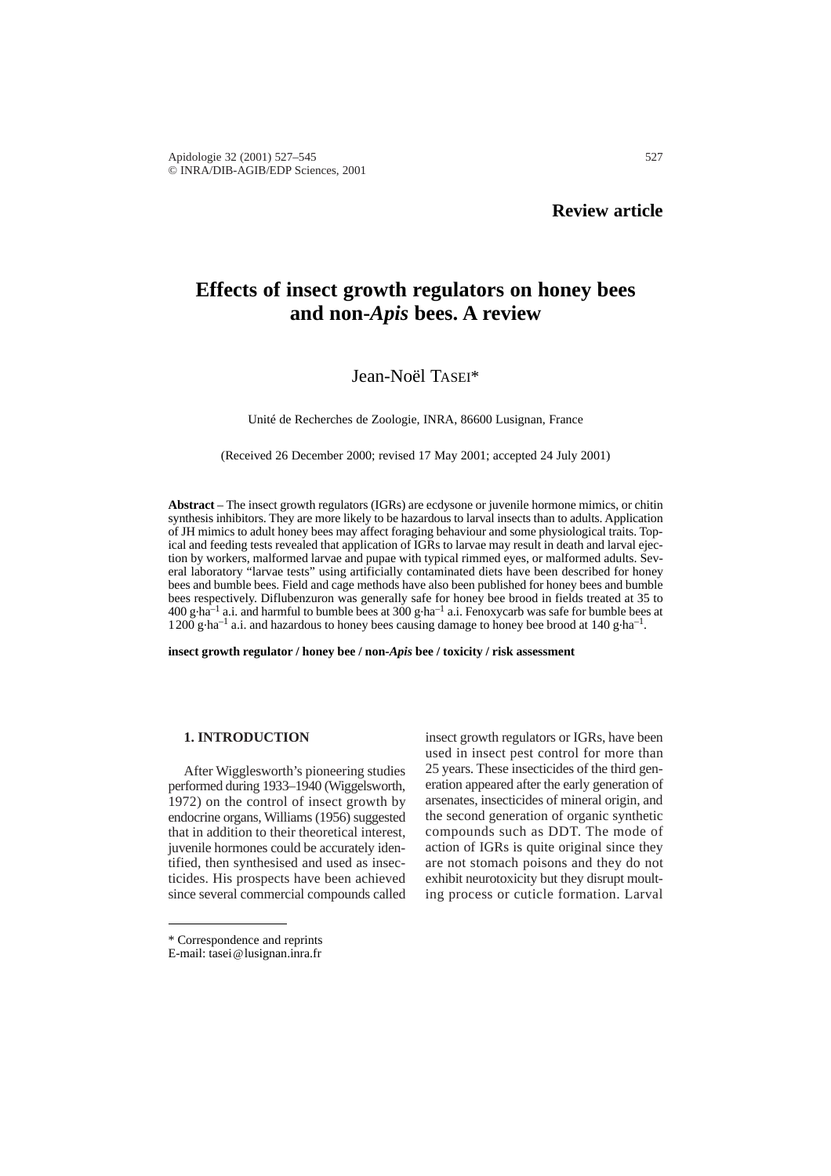# **Effects of insect growth regulators on honey bees and non-***Apis* **bees. A review**

## Jean-Noël TASEI\*

Unité de Recherches de Zoologie, INRA, 86600 Lusignan, France

(Received 26 December 2000; revised 17 May 2001; accepted 24 July 2001)

**Abstract** – The insect growth regulators (IGRs) are ecdysone or juvenile hormone mimics, or chitin synthesis inhibitors. They are more likely to be hazardous to larval insects than to adults. Application of JH mimics to adult honey bees may affect foraging behaviour and some physiological traits. Topical and feeding tests revealed that application of IGRs to larvae may result in death and larval ejection by workers, malformed larvae and pupae with typical rimmed eyes, or malformed adults. Several laboratory "larvae tests" using artificially contaminated diets have been described for honey bees and bumble bees. Field and cage methods have also been published for honey bees and bumble bees respectively. Diflubenzuron was generally safe for honey bee brood in fields treated at 35 to 400 g $\,$ ha<sup>-1</sup> a.i. and harmful to bumble bees at 300 g $\,$ ha<sup>-1</sup> a.i. Fenoxycarb was safe for bumble bees at  $1200$  g $\cdot$ ha<sup>-1</sup> a.i. and hazardous to honey bees causing damage to honey bee brood at 140 g $\cdot$ ha<sup>-1</sup>.

**insect growth regulator / honey bee / non-***Apis* **bee / toxicity / risk assessment**

#### **1. INTRODUCTION**

After Wigglesworth's pioneering studies performed during 1933–1940 (Wiggelsworth, 1972) on the control of insect growth by endocrine organs, Williams (1956) suggested that in addition to their theoretical interest, juvenile hormones could be accurately identified, then synthesised and used as insecticides. His prospects have been achieved since several commercial compounds called

insect growth regulators or IGRs, have been used in insect pest control for more than 25 years. These insecticides of the third generation appeared after the early generation of arsenates, insecticides of mineral origin, and the second generation of organic synthetic compounds such as DDT. The mode of action of IGRs is quite original since they are not stomach poisons and they do not exhibit neurotoxicity but they disrupt moulting process or cuticle formation. Larval

<sup>\*</sup> Correspondence and reprints

E-mail: tasei@lusignan.inra.fr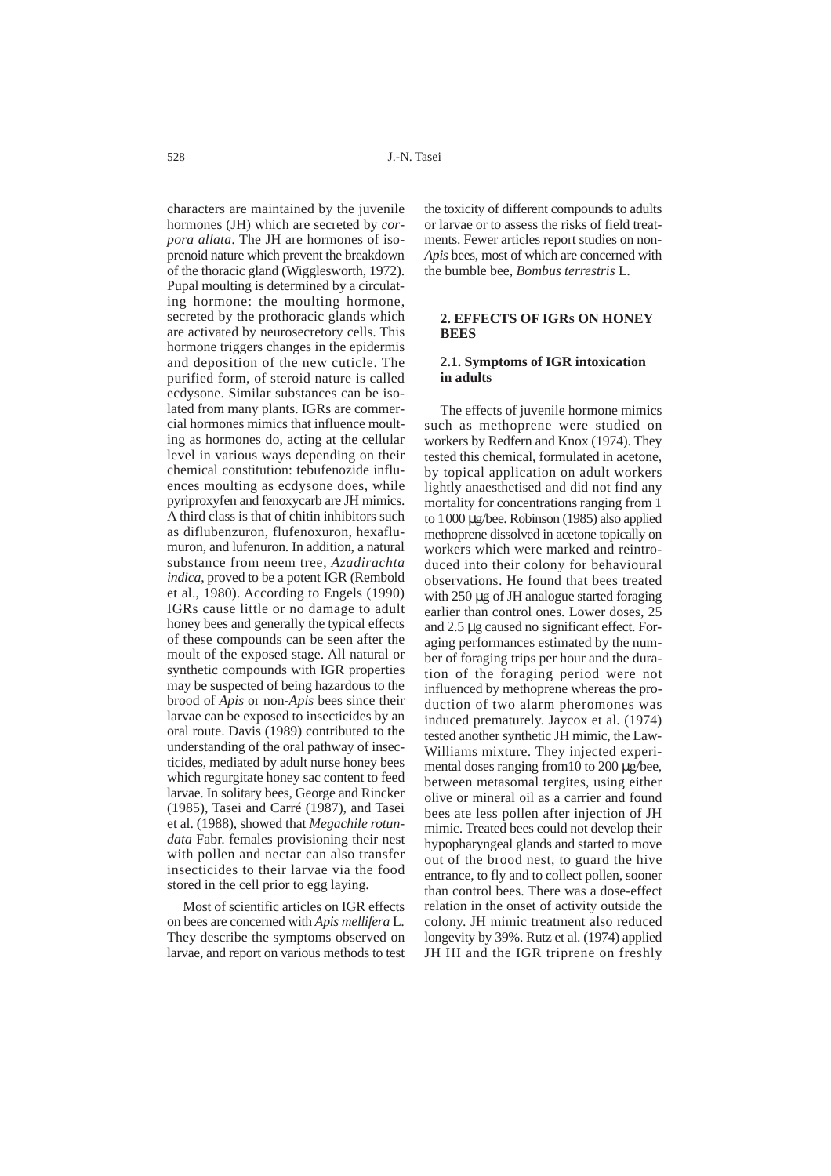528 J.-N. Tasei

characters are maintained by the juvenile hormones (JH) which are secreted by *corpora allata*. The JH are hormones of isoprenoid nature which prevent the breakdown of the thoracic gland (Wigglesworth, 1972). Pupal moulting is determined by a circulating hormone: the moulting hormone, secreted by the prothoracic glands which are activated by neurosecretory cells. This hormone triggers changes in the epidermis and deposition of the new cuticle. The purified form, of steroid nature is called ecdysone. Similar substances can be isolated from many plants. IGRs are commercial hormones mimics that influence moulting as hormones do, acting at the cellular level in various ways depending on their chemical constitution: tebufenozide influences moulting as ecdysone does, while pyriproxyfen and fenoxycarb are JH mimics. A third class is that of chitin inhibitors such as diflubenzuron, flufenoxuron, hexaflumuron, and lufenuron. In addition, a natural substance from neem tree, *Azadirachta indica*, proved to be a potent IGR (Rembold et al., 1980). According to Engels (1990) IGRs cause little or no damage to adult honey bees and generally the typical effects of these compounds can be seen after the moult of the exposed stage. All natural or synthetic compounds with IGR properties may be suspected of being hazardous to the brood of *Apis* or non-*Apis* bees since their larvae can be exposed to insecticides by an oral route. Davis (1989) contributed to the understanding of the oral pathway of insecticides, mediated by adult nurse honey bees which regurgitate honey sac content to feed larvae. In solitary bees, George and Rincker (1985), Tasei and Carré (1987), and Tasei et al. (1988), showed that *Megachile rotundata* Fabr. females provisioning their nest with pollen and nectar can also transfer insecticides to their larvae via the food stored in the cell prior to egg laying.

Most of scientific articles on IGR effects on bees are concerned with *Apis mellifera* L*.* They describe the symptoms observed on larvae, and report on various methods to test

the toxicity of different compounds to adults or larvae or to assess the risks of field treatments. Fewer articles report studies on non-*Apis* bees, most of which are concerned with the bumble bee, *Bombus terrestris* L*.*

## **2. EFFECTS OF IGRS ON HONEY BEES**

## **2.1. Symptoms of IGR intoxication in adults**

The effects of juvenile hormone mimics such as methoprene were studied on workers by Redfern and Knox (1974). They tested this chemical, formulated in acetone, by topical application on adult workers lightly anaesthetised and did not find any mortality for concentrations ranging from 1 to 1000 µg/bee. Robinson (1985) also applied methoprene dissolved in acetone topically on workers which were marked and reintroduced into their colony for behavioural observations. He found that bees treated with 250 µg of JH analogue started foraging earlier than control ones. Lower doses, 25 and 2.5 µg caused no significant effect. Foraging performances estimated by the number of foraging trips per hour and the duration of the foraging period were not influenced by methoprene whereas the production of two alarm pheromones was induced prematurely. Jaycox et al. (1974) tested another synthetic JH mimic, the Law-Williams mixture. They injected experimental doses ranging from 10 to 200 µg/bee, between metasomal tergites, using either olive or mineral oil as a carrier and found bees ate less pollen after injection of JH mimic. Treated bees could not develop their hypopharyngeal glands and started to move out of the brood nest, to guard the hive entrance, to fly and to collect pollen, sooner than control bees. There was a dose-effect relation in the onset of activity outside the colony. JH mimic treatment also reduced longevity by 39%. Rutz et al. (1974) applied JH III and the IGR triprene on freshly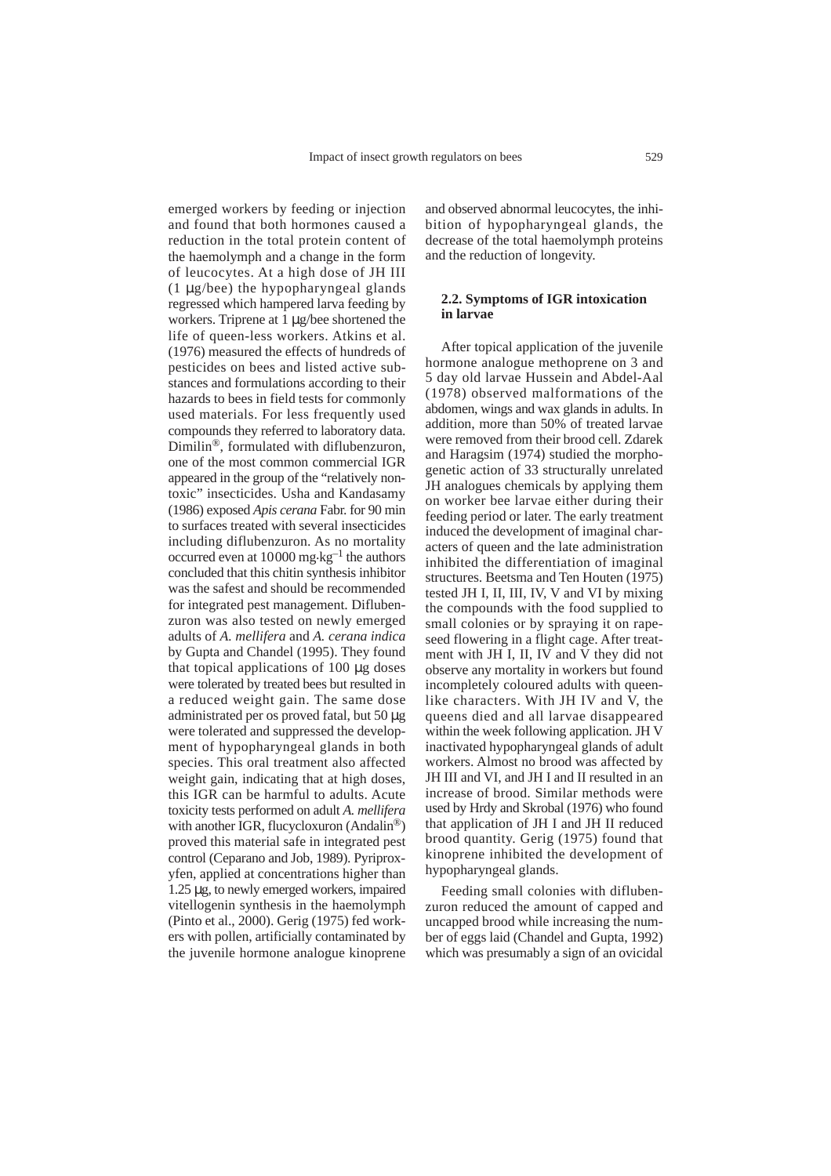emerged workers by feeding or injection and found that both hormones caused a reduction in the total protein content of the haemolymph and a change in the form of leucocytes. At a high dose of JH III (1 µg/bee) the hypopharyngeal glands regressed which hampered larva feeding by workers. Triprene at 1 µg/bee shortened the life of queen-less workers. Atkins et al. (1976) measured the effects of hundreds of pesticides on bees and listed active substances and formulations according to their hazards to bees in field tests for commonly used materials. For less frequently used compounds they referred to laboratory data. Dimilin®, formulated with diflubenzuron, one of the most common commercial IGR appeared in the group of the "relatively nontoxic" insecticides. Usha and Kandasamy (1986) exposed *Apis cerana* Fabr. for 90 min to surfaces treated with several insecticides including diflubenzuron. As no mortality occurred even at  $10000$  mg $\text{kg}^{-1}$  the authors concluded that this chitin synthesis inhibitor was the safest and should be recommended for integrated pest management. Diflubenzuron was also tested on newly emerged adults of *A. mellifera* and *A. cerana indica* by Gupta and Chandel (1995). They found that topical applications of 100 µg doses were tolerated by treated bees but resulted in a reduced weight gain. The same dose administrated per os proved fatal, but 50 µg were tolerated and suppressed the development of hypopharyngeal glands in both species. This oral treatment also affected weight gain, indicating that at high doses, this IGR can be harmful to adults. Acute toxicity tests performed on adult *A. mellifera* with another IGR, flucycloxuron (Andalin<sup>®</sup>) proved this material safe in integrated pest control (Ceparano and Job, 1989). Pyriproxyfen, applied at concentrations higher than 1.25 µg, to newly emerged workers, impaired vitellogenin synthesis in the haemolymph (Pinto et al., 2000). Gerig (1975) fed workers with pollen, artificially contaminated by the juvenile hormone analogue kinoprene

and observed abnormal leucocytes, the inhibition of hypopharyngeal glands, the decrease of the total haemolymph proteins and the reduction of longevity.

## **2.2. Symptoms of IGR intoxication in larvae**

After topical application of the juvenile hormone analogue methoprene on 3 and 5 day old larvae Hussein and Abdel-Aal (1978) observed malformations of the abdomen, wings and wax glands in adults. In addition, more than 50% of treated larvae were removed from their brood cell. Zdarek and Haragsim (1974) studied the morphogenetic action of 33 structurally unrelated JH analogues chemicals by applying them on worker bee larvae either during their feeding period or later. The early treatment induced the development of imaginal characters of queen and the late administration inhibited the differentiation of imaginal structures. Beetsma and Ten Houten (1975) tested JH I, II, III, IV, V and VI by mixing the compounds with the food supplied to small colonies or by spraying it on rapeseed flowering in a flight cage. After treatment with JH I, II, IV and V they did not observe any mortality in workers but found incompletely coloured adults with queenlike characters. With JH IV and V, the queens died and all larvae disappeared within the week following application. JH V inactivated hypopharyngeal glands of adult workers. Almost no brood was affected by JH III and VI, and JH I and II resulted in an increase of brood. Similar methods were used by Hrdy and Skrobal (1976) who found that application of JH I and JH II reduced brood quantity. Gerig (1975) found that kinoprene inhibited the development of hypopharyngeal glands.

Feeding small colonies with diflubenzuron reduced the amount of capped and uncapped brood while increasing the number of eggs laid (Chandel and Gupta, 1992) which was presumably a sign of an ovicidal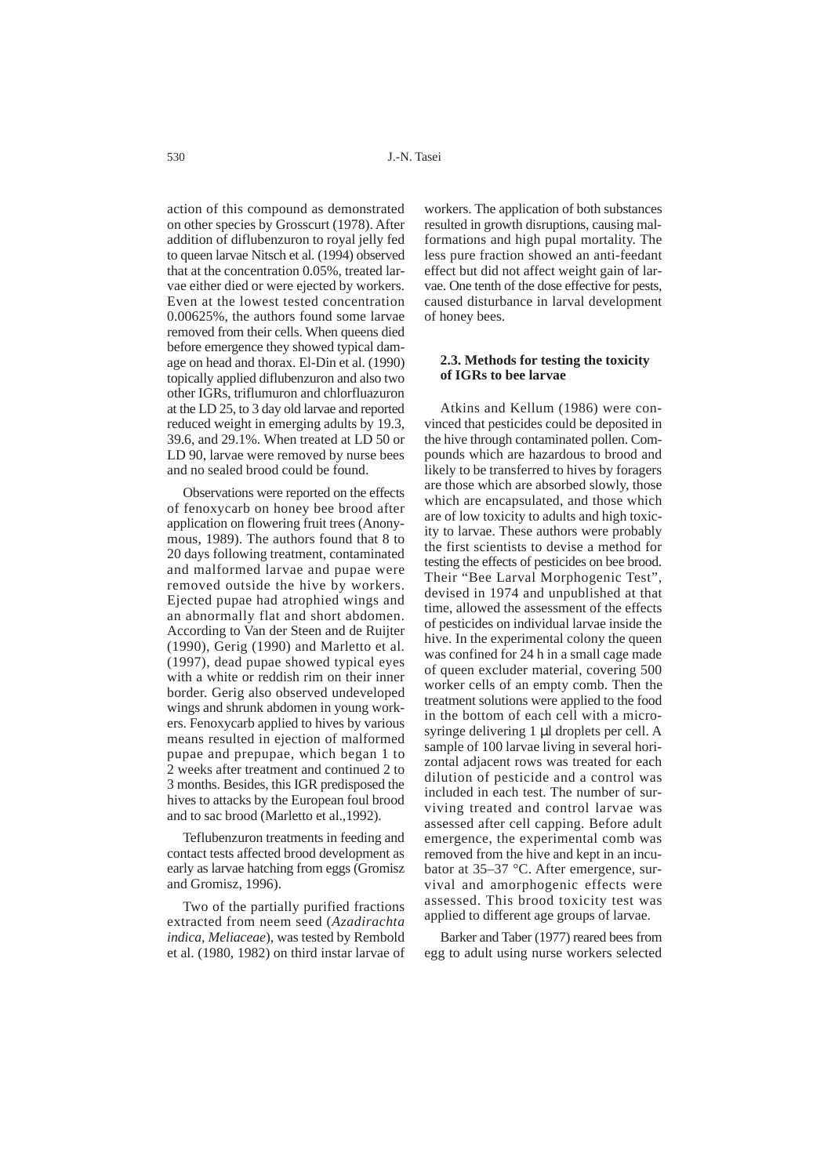action of this compound as demonstrated on other species by Grosscurt (1978). After addition of diflubenzuron to royal jelly fed to queen larvae Nitsch et al. (1994) observed that at the concentration 0.05%, treated larvae either died or were ejected by workers. Even at the lowest tested concentration 0.00625%, the authors found some larvae removed from their cells. When queens died before emergence they showed typical damage on head and thorax. El-Din et al. (1990) topically applied diflubenzuron and also two other IGRs, triflumuron and chlorfluazuron at the LD 25, to 3 day old larvae and reported reduced weight in emerging adults by 19.3, 39.6, and 29.1%. When treated at LD 50 or LD 90, larvae were removed by nurse bees and no sealed brood could be found.

Observations were reported on the effects of fenoxycarb on honey bee brood after application on flowering fruit trees (Anonymous, 1989). The authors found that 8 to 20 days following treatment, contaminated and malformed larvae and pupae were removed outside the hive by workers. Ejected pupae had atrophied wings and an abnormally flat and short abdomen. According to Van der Steen and de Ruijter (1990), Gerig (1990) and Marletto et al. (1997), dead pupae showed typical eyes with a white or reddish rim on their inner border. Gerig also observed undeveloped wings and shrunk abdomen in young workers. Fenoxycarb applied to hives by various means resulted in ejection of malformed pupae and prepupae, which began 1 to 2 weeks after treatment and continued 2 to 3 months. Besides, this IGR predisposed the hives to attacks by the European foul brood and to sac brood (Marletto et al.,1992).

Teflubenzuron treatments in feeding and contact tests affected brood development as early as larvae hatching from eggs (Gromisz and Gromisz, 1996).

Two of the partially purified fractions extracted from neem seed (*Azadirachta indica, Meliaceae*), was tested by Rembold et al. (1980, 1982) on third instar larvae of workers. The application of both substances resulted in growth disruptions, causing malformations and high pupal mortality. The less pure fraction showed an anti-feedant effect but did not affect weight gain of larvae. One tenth of the dose effective for pests, caused disturbance in larval development of honey bees.

#### **2.3. Methods for testing the toxicity of IGRs to bee larvae**

Atkins and Kellum (1986) were convinced that pesticides could be deposited in the hive through contaminated pollen. Compounds which are hazardous to brood and likely to be transferred to hives by foragers are those which are absorbed slowly, those which are encapsulated, and those which are of low toxicity to adults and high toxicity to larvae. These authors were probably the first scientists to devise a method for testing the effects of pesticides on bee brood. Their "Bee Larval Morphogenic Test", devised in 1974 and unpublished at that time, allowed the assessment of the effects of pesticides on individual larvae inside the hive. In the experimental colony the queen was confined for 24 h in a small cage made of queen excluder material, covering 500 worker cells of an empty comb. Then the treatment solutions were applied to the food in the bottom of each cell with a microsyringe delivering 1 µl droplets per cell. A sample of 100 larvae living in several horizontal adjacent rows was treated for each dilution of pesticide and a control was included in each test. The number of surviving treated and control larvae was assessed after cell capping. Before adult emergence, the experimental comb was removed from the hive and kept in an incubator at 35–37 °C. After emergence, survival and amorphogenic effects were assessed. This brood toxicity test was applied to different age groups of larvae.

Barker and Taber (1977) reared bees from egg to adult using nurse workers selected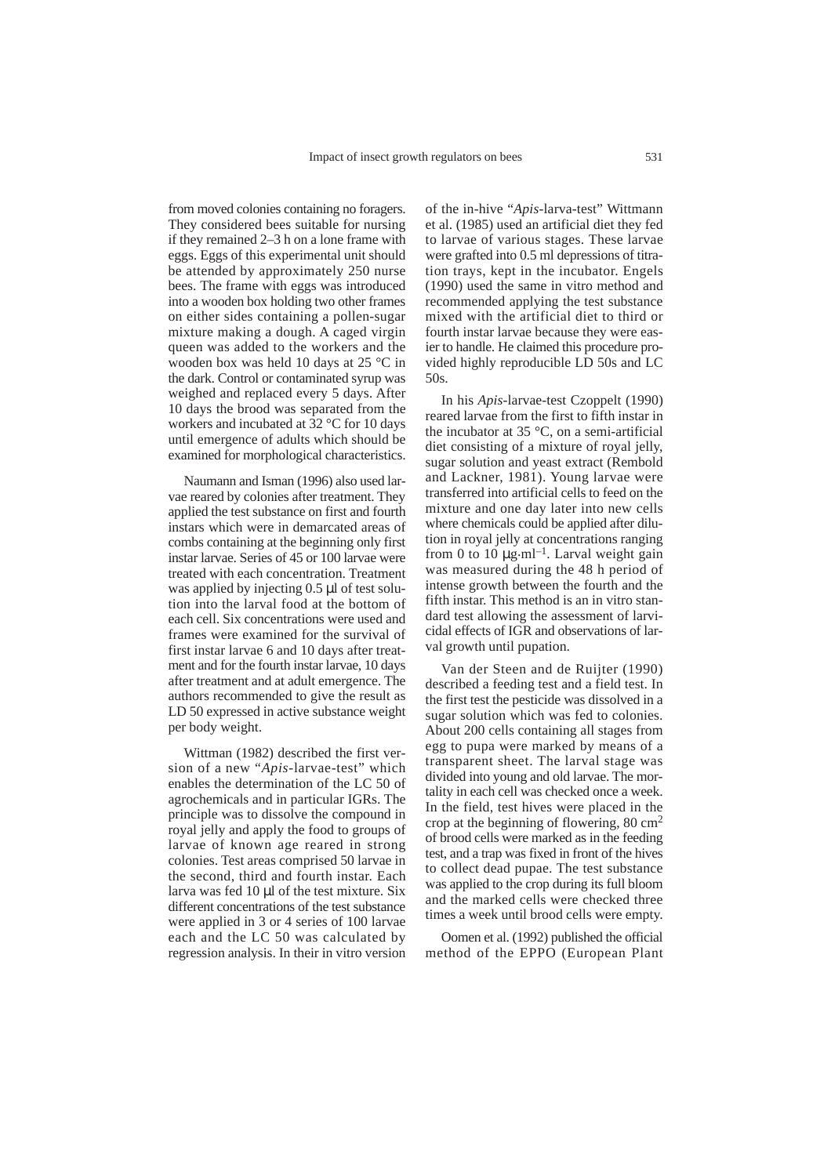from moved colonies containing no foragers. They considered bees suitable for nursing if they remained 2–3 h on a lone frame with eggs. Eggs of this experimental unit should be attended by approximately 250 nurse bees. The frame with eggs was introduced into a wooden box holding two other frames on either sides containing a pollen-sugar mixture making a dough. A caged virgin queen was added to the workers and the wooden box was held 10 days at 25 °C in the dark. Control or contaminated syrup was weighed and replaced every 5 days. After 10 days the brood was separated from the workers and incubated at 32 °C for 10 days until emergence of adults which should be examined for morphological characteristics.

Naumann and Isman (1996) also used larvae reared by colonies after treatment. They applied the test substance on first and fourth instars which were in demarcated areas of combs containing at the beginning only first instar larvae. Series of 45 or 100 larvae were treated with each concentration. Treatment was applied by injecting 0.5 µl of test solution into the larval food at the bottom of each cell. Six concentrations were used and frames were examined for the survival of first instar larvae 6 and 10 days after treatment and for the fourth instar larvae, 10 days after treatment and at adult emergence. The authors recommended to give the result as LD 50 expressed in active substance weight per body weight.

Wittman (1982) described the first version of a new "*Apis*-larvae-test" which enables the determination of the LC 50 of agrochemicals and in particular IGRs. The principle was to dissolve the compound in royal jelly and apply the food to groups of larvae of known age reared in strong colonies. Test areas comprised 50 larvae in the second, third and fourth instar. Each larva was fed 10 µl of the test mixture. Six different concentrations of the test substance were applied in 3 or 4 series of 100 larvae each and the LC 50 was calculated by regression analysis. In their in vitro version of the in-hive "*Apis*-larva-test" Wittmann et al. (1985) used an artificial diet they fed to larvae of various stages. These larvae were grafted into 0.5 ml depressions of titration trays, kept in the incubator. Engels (1990) used the same in vitro method and recommended applying the test substance mixed with the artificial diet to third or fourth instar larvae because they were easier to handle. He claimed this procedure provided highly reproducible LD 50s and LC 50s.

In his *Apis*-larvae-test Czoppelt (1990) reared larvae from the first to fifth instar in the incubator at 35 °C, on a semi-artificial diet consisting of a mixture of royal jelly, sugar solution and yeast extract (Rembold and Lackner, 1981). Young larvae were transferred into artificial cells to feed on the mixture and one day later into new cells where chemicals could be applied after dilution in royal jelly at concentrations ranging from 0 to 10  $\mu$ g·ml<sup>-1</sup>. Larval weight gain was measured during the 48 h period of intense growth between the fourth and the fifth instar. This method is an in vitro standard test allowing the assessment of larvicidal effects of IGR and observations of larval growth until pupation.

Van der Steen and de Ruijter (1990) described a feeding test and a field test. In the first test the pesticide was dissolved in a sugar solution which was fed to colonies. About 200 cells containing all stages from egg to pupa were marked by means of a transparent sheet. The larval stage was divided into young and old larvae. The mortality in each cell was checked once a week. In the field, test hives were placed in the crop at the beginning of flowering,  $80 \text{ cm}^2$ of brood cells were marked as in the feeding test, and a trap was fixed in front of the hives to collect dead pupae. The test substance was applied to the crop during its full bloom and the marked cells were checked three times a week until brood cells were empty.

Oomen et al. (1992) published the official method of the EPPO (European Plant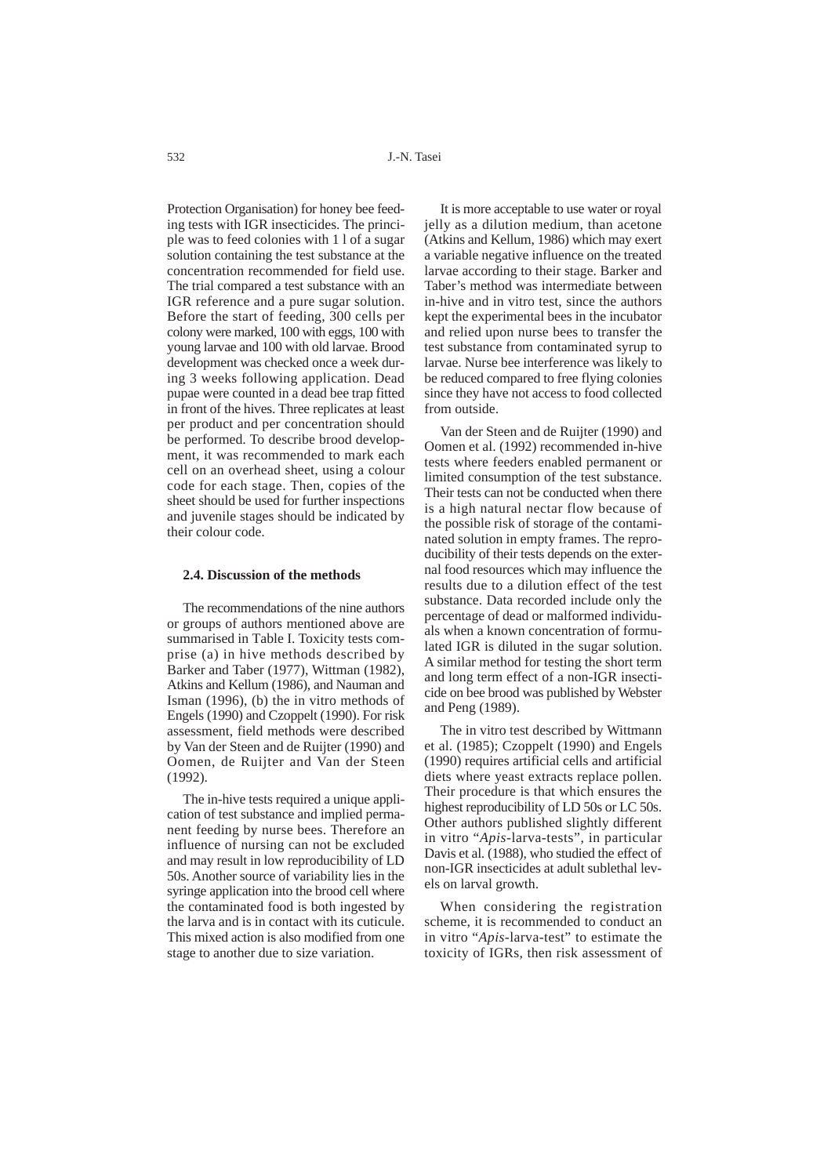Protection Organisation) for honey bee feeding tests with IGR insecticides. The principle was to feed colonies with 1 l of a sugar solution containing the test substance at the concentration recommended for field use. The trial compared a test substance with an IGR reference and a pure sugar solution. Before the start of feeding, 300 cells per colony were marked, 100 with eggs, 100 with young larvae and 100 with old larvae. Brood development was checked once a week during 3 weeks following application. Dead pupae were counted in a dead bee trap fitted in front of the hives. Three replicates at least per product and per concentration should be performed. To describe brood development, it was recommended to mark each cell on an overhead sheet, using a colour code for each stage. Then, copies of the sheet should be used for further inspections and juvenile stages should be indicated by their colour code.

#### **2.4. Discussion of the methods**

The recommendations of the nine authors or groups of authors mentioned above are summarised in Table I. Toxicity tests comprise (a) in hive methods described by Barker and Taber (1977), Wittman (1982), Atkins and Kellum (1986), and Nauman and Isman (1996), (b) the in vitro methods of Engels (1990) and Czoppelt (1990). For risk assessment, field methods were described by Van der Steen and de Ruijter (1990) and Oomen, de Ruijter and Van der Steen (1992).

The in-hive tests required a unique application of test substance and implied permanent feeding by nurse bees. Therefore an influence of nursing can not be excluded and may result in low reproducibility of LD 50s. Another source of variability lies in the syringe application into the brood cell where the contaminated food is both ingested by the larva and is in contact with its cuticule. This mixed action is also modified from one stage to another due to size variation.

It is more acceptable to use water or royal jelly as a dilution medium, than acetone (Atkins and Kellum, 1986) which may exert a variable negative influence on the treated larvae according to their stage. Barker and Taber's method was intermediate between in-hive and in vitro test, since the authors kept the experimental bees in the incubator and relied upon nurse bees to transfer the test substance from contaminated syrup to larvae. Nurse bee interference was likely to be reduced compared to free flying colonies since they have not access to food collected from outside.

Van der Steen and de Ruijter (1990) and Oomen et al. (1992) recommended in-hive tests where feeders enabled permanent or limited consumption of the test substance. Their tests can not be conducted when there is a high natural nectar flow because of the possible risk of storage of the contaminated solution in empty frames. The reproducibility of their tests depends on the external food resources which may influence the results due to a dilution effect of the test substance. Data recorded include only the percentage of dead or malformed individuals when a known concentration of formulated IGR is diluted in the sugar solution. A similar method for testing the short term and long term effect of a non-IGR insecticide on bee brood was published by Webster and Peng (1989).

The in vitro test described by Wittmann et al. (1985); Czoppelt (1990) and Engels (1990) requires artificial cells and artificial diets where yeast extracts replace pollen. Their procedure is that which ensures the highest reproducibility of LD 50s or LC 50s. Other authors published slightly different in vitro "*Apis*-larva-tests", in particular Davis et al. (1988), who studied the effect of non-IGR insecticides at adult sublethal levels on larval growth.

When considering the registration scheme, it is recommended to conduct an in vitro "*Apis*-larva-test" to estimate the toxicity of IGRs, then risk assessment of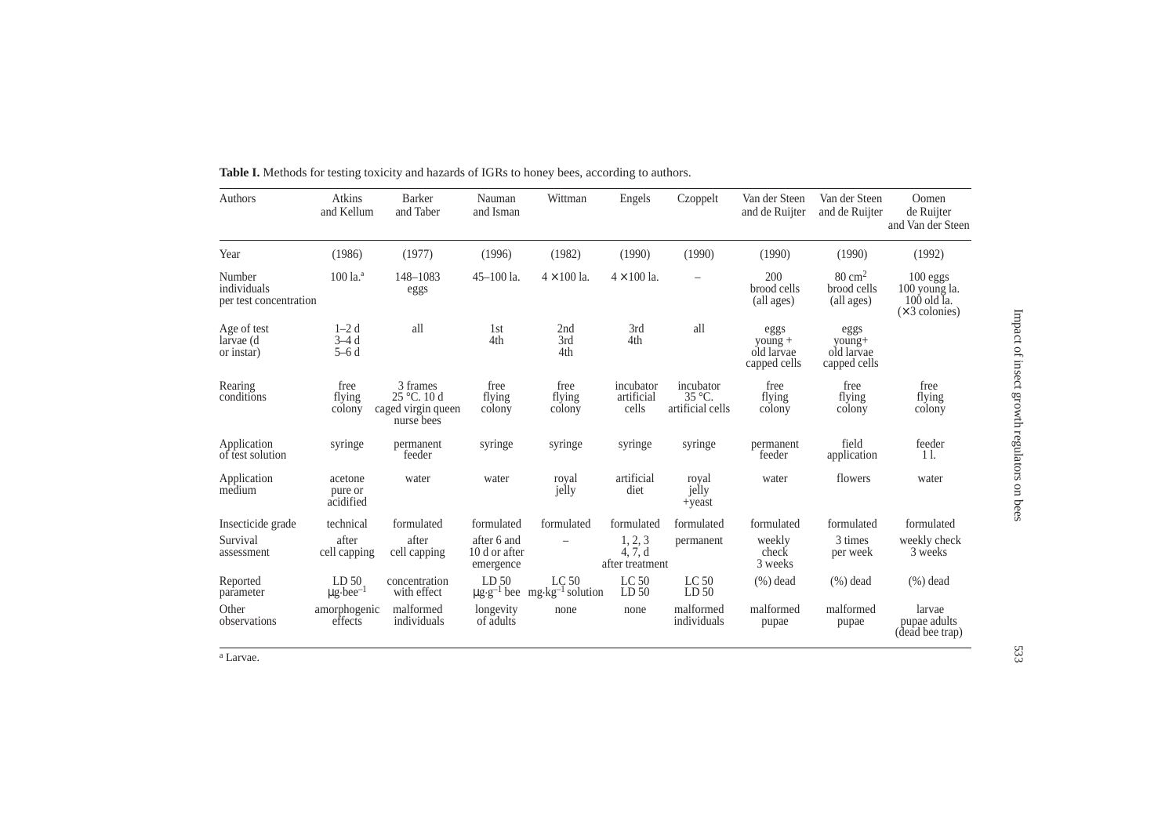| Authors                                         | <b>Atkins</b><br>and Kellum                   | <b>Barker</b><br>and Taber                                           | Nauman<br>and Isman                       | Wittman                                                                   | Engels                                | Czoppelt                                         | Van der Steen<br>and de Ruijter                     | Van der Steen<br>and de Ruijter                | Oomen<br>de Ruijter<br>and Van der Steen                                |
|-------------------------------------------------|-----------------------------------------------|----------------------------------------------------------------------|-------------------------------------------|---------------------------------------------------------------------------|---------------------------------------|--------------------------------------------------|-----------------------------------------------------|------------------------------------------------|-------------------------------------------------------------------------|
| Year                                            | (1986)                                        | (1977)                                                               | (1996)                                    | (1982)                                                                    | (1990)                                | (1990)                                           | (1990)                                              | (1990)                                         | (1992)                                                                  |
| Number<br>individuals<br>per test concentration | $100$ la. $a$                                 | 148-1083<br>eggs                                                     | $45 - 100$ la.                            | $4 \times 100$ la.                                                        | $4 \times 100$ la.                    |                                                  | 200<br>brood cells<br>(all ages)                    | $80 \text{ cm}^2$<br>brood cells<br>(all ages) | 100 eggs<br>100 young la.<br>$100$ old $I_a$ .<br>$(\times 3$ colonies) |
| Age of test<br>larvae (d<br>or instar)          | $1-2d$<br>$3-4d$<br>$5-6d$                    | all                                                                  | 1st<br>4th                                | 2nd<br>3rd<br>4th                                                         | 3rd<br>4th                            | all                                              | eggs<br>$\frac{1}{2}$<br>old larvae<br>capped cells | eggs<br>young+<br>old larvae<br>capped cells   |                                                                         |
| Rearing<br>conditions                           | free<br>flying<br>colony                      | 3 frames<br>$25^{\circ}$ C. 10 d<br>caged virgin queen<br>nurse bees | free<br>flying<br>colony                  | free<br>flying<br>colony                                                  | incubator<br>artificial<br>cells      | incubator<br>$35^{\circ}$ C.<br>artificial cells | free<br>flying<br>colony                            | free<br>flying<br>colony                       | free<br>flying<br>colony                                                |
| Application<br>of test solution                 | syringe                                       | permanent<br>feeder                                                  | syringe                                   | syringe                                                                   | syringe                               | syringe                                          | permanent<br>feeder                                 | field<br>application                           | feeder<br>11.                                                           |
| Application<br>medium                           | acetone<br>pure or<br>acidified               | water                                                                | water                                     | royal<br>jelly                                                            | artificial<br>diet                    | royal<br>jelly<br>$+y east$                      | water                                               | flowers                                        | water                                                                   |
| Insecticide grade                               | technical                                     | formulated                                                           | formulated                                | formulated                                                                | formulated                            | formulated                                       | formulated                                          | formulated                                     | formulated                                                              |
| Survival<br>assessment                          | after<br>cell capping                         | after<br>cell capping                                                | after 6 and<br>10 d or after<br>emergence |                                                                           | 1, 2, 3<br>4, 7, d<br>after treatment | permanent                                        | weekly<br>check<br>3 weeks                          | 3 times<br>per week                            | weekly check<br>3 weeks                                                 |
| Reported<br>parameter                           | LD <sub>50</sub><br>$\mu$ g·bee <sup>-1</sup> | concentration<br>with effect                                         | LD <sub>50</sub>                          | LC <sub>50</sub><br>$\mu g \cdot g^{-1}$ bee mg·kg <sup>-1</sup> solution | LC <sub>50</sub><br>LD <sub>50</sub>  | LC <sub>50</sub><br>LD <sub>50</sub>             | $(\%)$ dead                                         | $(\%)$ dead                                    | $(\%)$ dead                                                             |
| Other<br>observations                           | amorphogenic<br>effects                       | malformed<br>individuals                                             | longevity<br>of adults                    | none                                                                      | none                                  | malformed<br>individuals                         | malformed<br>pupae                                  | malformed<br>pupae                             | larvae<br>pupae adults<br>(dead bee trap)                               |

**Table I.** Methods for testing toxicity and hazards of IGRs to honey bees, according to authors.

<sup>a</sup> Larvae.

Impact of insect growth regulators on bees Impact of insect growth regulators on bees

533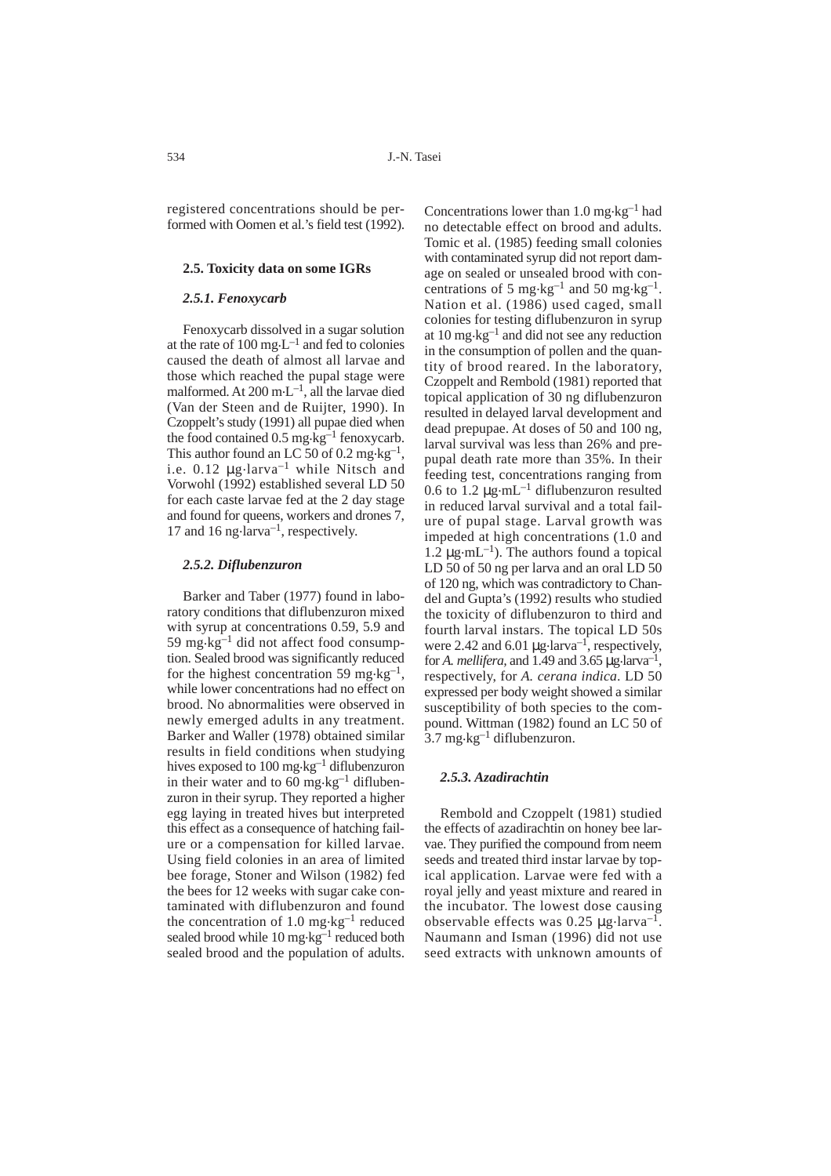registered concentrations should be performed with Oomen et al.'s field test (1992).

#### **2.5. Toxicity data on some IGRs**

## *2.5.1. Fenoxycarb*

Fenoxycarb dissolved in a sugar solution at the rate of  $100 \text{ mg} \cdot L^{-1}$  and fed to colonies caused the death of almost all larvae and those which reached the pupal stage were malformed. At 200 m.L–1, all the larvae died (Van der Steen and de Ruijter, 1990). In Czoppelt's study (1991) all pupae died when the food contained  $0.5 \text{ mg} \cdot \text{kg}^{-1}$  fenoxycarb. This author found an LC 50 of 0.2 mg $\text{kg}^{-1}$ , i.e.  $0.12 \mu$ g·larva<sup>-1</sup> while Nitsch and Vorwohl (1992) established several LD 50 for each caste larvae fed at the 2 day stage and found for queens, workers and drones 7, 17 and 16 ng $\cdot$ larva<sup>-1</sup>, respectively.

## *2.5.2. Diflubenzuron*

Barker and Taber (1977) found in laboratory conditions that diflubenzuron mixed with syrup at concentrations 0.59, 5.9 and 59 mg $\text{kg}^{-1}$  did not affect food consumption. Sealed brood was significantly reduced for the highest concentration 59 mg $\text{kg}^{-1}$ , while lower concentrations had no effect on brood. No abnormalities were observed in newly emerged adults in any treatment. Barker and Waller (1978) obtained similar results in field conditions when studying hives exposed to 100 mg $\text{kg}^{-1}$  diflubenzuron in their water and to  $60 \text{ mg} \cdot \text{kg}^{-1}$  diflubenzuron in their syrup. They reported a higher egg laying in treated hives but interpreted this effect as a consequence of hatching failure or a compensation for killed larvae. Using field colonies in an area of limited bee forage, Stoner and Wilson (1982) fed the bees for 12 weeks with sugar cake contaminated with diflubenzuron and found the concentration of 1.0 mg $\text{kg}^{-1}$  reduced sealed brood while 10 mg·kg<sup>-1</sup> reduced both sealed brood and the population of adults.

Concentrations lower than 1.0 mg $\text{kg}^{-1}$  had no detectable effect on brood and adults. Tomic et al. (1985) feeding small colonies with contaminated syrup did not report damage on sealed or unsealed brood with concentrations of 5 mg·kg<sup>-1</sup> and 50 mg·kg<sup>-1</sup>. Nation et al. (1986) used caged, small colonies for testing diflubenzuron in syrup at 10 mg.kg–1 and did not see any reduction in the consumption of pollen and the quantity of brood reared. In the laboratory, Czoppelt and Rembold (1981) reported that topical application of 30 ng diflubenzuron resulted in delayed larval development and dead prepupae. At doses of 50 and 100 ng, larval survival was less than 26% and prepupal death rate more than 35%. In their feeding test, concentrations ranging from 0.6 to 1.2  $\mu$ g·mL<sup>-1</sup> diflubenzuron resulted in reduced larval survival and a total failure of pupal stage. Larval growth was impeded at high concentrations (1.0 and 1.2  $\mu$ g·mL<sup>-1</sup>). The authors found a topical LD 50 of 50 ng per larva and an oral LD 50 of 120 ng, which was contradictory to Chandel and Gupta's (1992) results who studied the toxicity of diflubenzuron to third and fourth larval instars. The topical LD 50s were 2.42 and 6.01  $\mu$ g·larva<sup>-1</sup>, respectively, for *A. mellifera*, and 1.49 and 3.65  $\mu$ g.larva<sup>-1</sup>, respectively, for *A. cerana indica*. LD 50 expressed per body weight showed a similar susceptibility of both species to the compound. Wittman (1982) found an LC 50 of  $3.7 \text{ mg·kg}^{-1}$  diflubenzuron.

#### *2.5.3. Azadirachtin*

Rembold and Czoppelt (1981) studied the effects of azadirachtin on honey bee larvae. They purified the compound from neem seeds and treated third instar larvae by topical application. Larvae were fed with a royal jelly and yeast mixture and reared in the incubator. The lowest dose causing observable effects was  $0.25 \mu$ g.larva<sup>-1</sup>. Naumann and Isman (1996) did not use seed extracts with unknown amounts of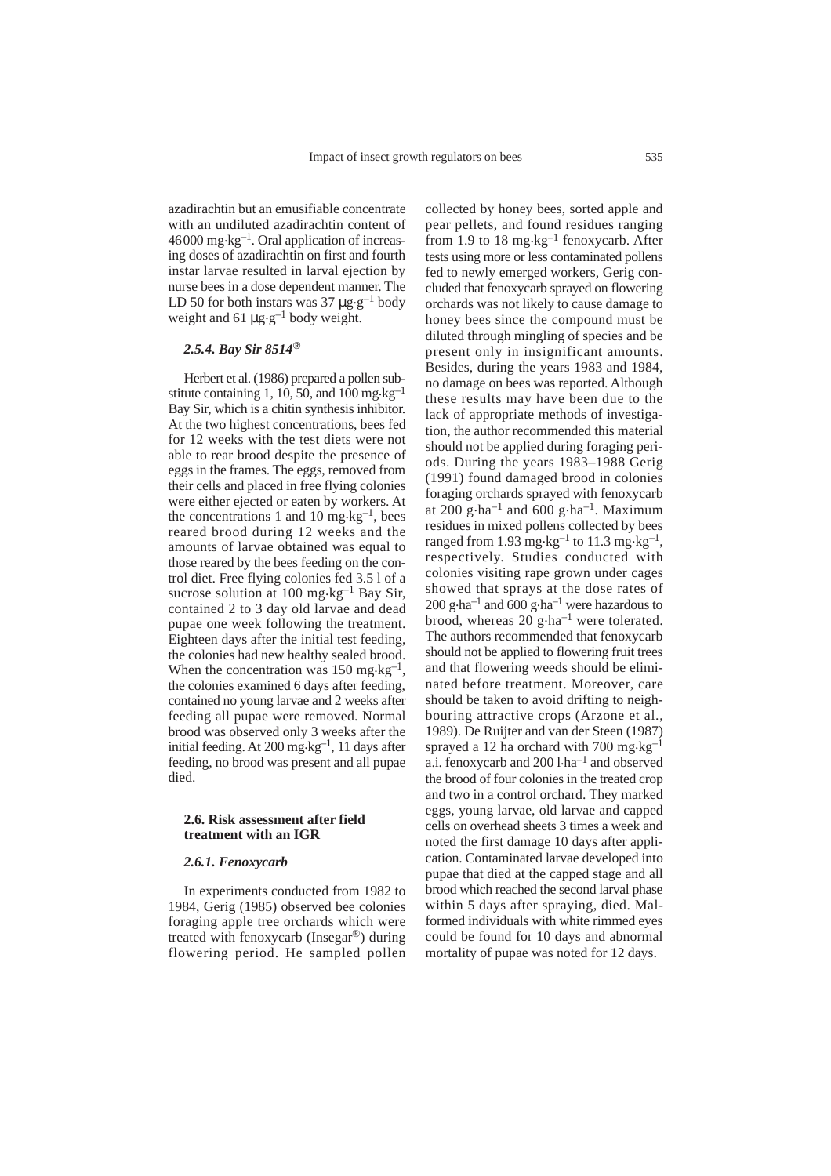azadirachtin but an emusifiable concentrate with an undiluted azadirachtin content of  $46000$  mg $\cdot$ kg<sup>-1</sup>. Oral application of increasing doses of azadirachtin on first and fourth instar larvae resulted in larval ejection by nurse bees in a dose dependent manner. The LD 50 for both instars was 37  $\mu$ g.g<sup>-1</sup> body weight and 61  $\mu$ g.g<sup>-1</sup> body weight.

## *2.5.4. Bay Sir 8514®*

Herbert et al. (1986) prepared a pollen substitute containing 1, 10, 50, and 100 mg $\text{kg}^{-1}$ Bay Sir, which is a chitin synthesis inhibitor. At the two highest concentrations, bees fed for 12 weeks with the test diets were not able to rear brood despite the presence of eggs in the frames. The eggs, removed from their cells and placed in free flying colonies were either ejected or eaten by workers. At the concentrations 1 and 10 mg $\text{kg}^{-1}$ , bees reared brood during 12 weeks and the amounts of larvae obtained was equal to those reared by the bees feeding on the control diet. Free flying colonies fed 3.5 l of a sucrose solution at  $100 \text{ mg} \cdot \text{kg}^{-1}$  Bay Sir, contained 2 to 3 day old larvae and dead pupae one week following the treatment. Eighteen days after the initial test feeding, the colonies had new healthy sealed brood. When the concentration was 150 mg $\text{kg}^{-1}$ , the colonies examined 6 days after feeding, contained no young larvae and 2 weeks after feeding all pupae were removed. Normal brood was observed only 3 weeks after the initial feeding. At 200 mg.kg–1, 11 days after feeding, no brood was present and all pupae died.

### **2.6. Risk assessment after field treatment with an IGR**

#### *2.6.1. Fenoxycarb*

In experiments conducted from 1982 to 1984, Gerig (1985) observed bee colonies foraging apple tree orchards which were treated with fenoxycarb (Insegar®) during flowering period. He sampled pollen collected by honey bees, sorted apple and pear pellets, and found residues ranging from 1.9 to 18 mg $\text{kg}^{-1}$  fenoxycarb. After tests using more or less contaminated pollens fed to newly emerged workers, Gerig concluded that fenoxycarb sprayed on flowering orchards was not likely to cause damage to honey bees since the compound must be diluted through mingling of species and be present only in insignificant amounts. Besides, during the years 1983 and 1984, no damage on bees was reported. Although these results may have been due to the lack of appropriate methods of investigation, the author recommended this material should not be applied during foraging periods. During the years 1983–1988 Gerig (1991) found damaged brood in colonies foraging orchards sprayed with fenoxycarb at 200 g $\cdot$ ha<sup>-1</sup> and 600 g $\cdot$ ha<sup>-1</sup>. Maximum residues in mixed pollens collected by bees ranged from 1.93 mg·kg<sup>-1</sup> to 11.3 mg·kg<sup>-1</sup>, respectively. Studies conducted with colonies visiting rape grown under cages showed that sprays at the dose rates of 200 g $\cdot$ ha<sup>-1</sup> and 600 g $\cdot$ ha<sup>-1</sup> were hazardous to brood, whereas  $20$  g $\cdot$ ha<sup>-1</sup> were tolerated. The authors recommended that fenoxycarb should not be applied to flowering fruit trees and that flowering weeds should be eliminated before treatment. Moreover, care should be taken to avoid drifting to neighbouring attractive crops (Arzone et al., 1989). De Ruijter and van der Steen (1987) sprayed a 12 ha orchard with 700 mg $\text{kg}^{-1}$ a.i. fenoxycarb and  $200$  l $\cdot$ ha<sup>-1</sup> and observed the brood of four colonies in the treated crop and two in a control orchard. They marked eggs, young larvae, old larvae and capped cells on overhead sheets 3 times a week and noted the first damage 10 days after application. Contaminated larvae developed into pupae that died at the capped stage and all brood which reached the second larval phase within 5 days after spraying, died. Malformed individuals with white rimmed eyes could be found for 10 days and abnormal mortality of pupae was noted for 12 days.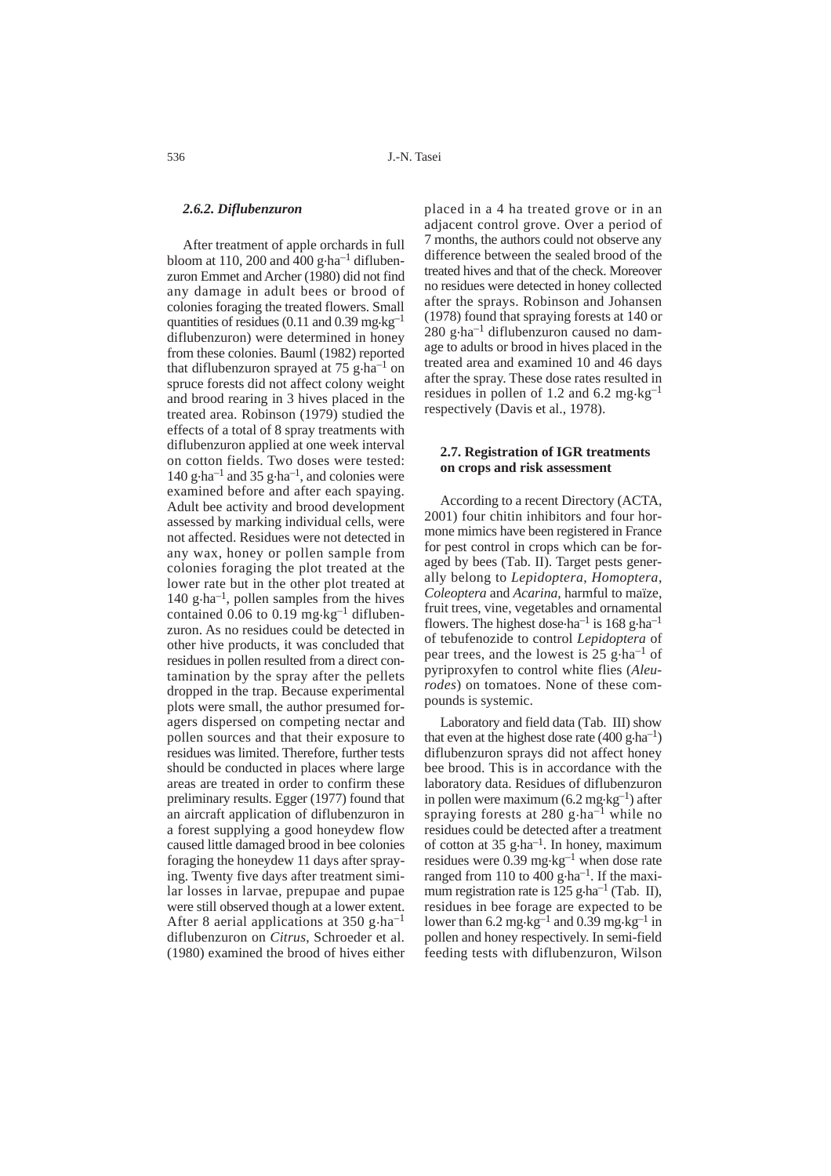## *2.6.2. Diflubenzuron*

After treatment of apple orchards in full bloom at 110, 200 and  $\overline{400}$  g·ha<sup>-1</sup> diflubenzuron Emmet and Archer (1980) did not find any damage in adult bees or brood of colonies foraging the treated flowers. Small quantities of residues (0.11 and 0.39 mg $\text{kg}^{-1}$ diflubenzuron) were determined in honey from these colonies. Bauml (1982) reported that diflubenzuron sprayed at  $75$  g $\cdot$ ha<sup>-1</sup> on spruce forests did not affect colony weight and brood rearing in 3 hives placed in the treated area. Robinson (1979) studied the effects of a total of 8 spray treatments with diflubenzuron applied at one week interval on cotton fields. Two doses were tested: 140 g $\cdot$ ha<sup>-1</sup> and 35 g $\cdot$ ha<sup>-1</sup>, and colonies were examined before and after each spaying. Adult bee activity and brood development assessed by marking individual cells, were not affected. Residues were not detected in any wax, honey or pollen sample from colonies foraging the plot treated at the lower rate but in the other plot treated at 140 g $\cdot$ ha<sup>-1</sup>, pollen samples from the hives contained 0.06 to 0.19 mg $\text{kg}^{-1}$  diflubenzuron. As no residues could be detected in other hive products, it was concluded that residues in pollen resulted from a direct contamination by the spray after the pellets dropped in the trap. Because experimental plots were small, the author presumed foragers dispersed on competing nectar and pollen sources and that their exposure to residues was limited. Therefore, further tests should be conducted in places where large areas are treated in order to confirm these preliminary results. Egger (1977) found that an aircraft application of diflubenzuron in a forest supplying a good honeydew flow caused little damaged brood in bee colonies foraging the honeydew 11 days after spraying. Twenty five days after treatment similar losses in larvae, prepupae and pupae were still observed though at a lower extent. After 8 aerial applications at  $350$  g $\cdot$ ha<sup>-1</sup> diflubenzuron on *Citrus*, Schroeder et al. (1980) examined the brood of hives either placed in a 4 ha treated grove or in an adjacent control grove. Over a period of 7 months, the authors could not observe any difference between the sealed brood of the treated hives and that of the check. Moreover no residues were detected in honey collected after the sprays. Robinson and Johansen (1978) found that spraying forests at 140 or  $280$  g $\cdot$ ha<sup>-1</sup> diflubenzuron caused no damage to adults or brood in hives placed in the treated area and examined 10 and 46 days after the spray. These dose rates resulted in residues in pollen of 1.2 and 6.2 mg $\text{kg}^{-1}$ respectively (Davis et al., 1978).

## **2.7. Registration of IGR treatments on crops and risk assessment**

According to a recent Directory (ACTA, 2001) four chitin inhibitors and four hormone mimics have been registered in France for pest control in crops which can be foraged by bees (Tab. II). Target pests generally belong to *Lepidoptera*, *Homoptera*, *Coleoptera* and *Acarina*, harmful to maïze, fruit trees, vine, vegetables and ornamental flowers. The highest dose ha<sup>-1</sup> is 168 g ha<sup>-1</sup> of tebufenozide to control *Lepidoptera* of pear trees, and the lowest is  $25$  g $\cdot$ ha<sup>-1</sup> of pyriproxyfen to control white flies (*Aleurodes*) on tomatoes. None of these compounds is systemic.

Laboratory and field data (Tab. III) show that even at the highest dose rate  $(400 \text{ g} \cdot \text{ha}^{-1})$ diflubenzuron sprays did not affect honey bee brood. This is in accordance with the laboratory data. Residues of diflubenzuron in pollen were maximum  $(6.2 \text{ mg} \cdot \text{kg}^{-1})$  after spraying forests at 280 g $\cdot$ ha<sup>-1</sup> while no residues could be detected after a treatment of cotton at 35  $g$ ·ha<sup>-1</sup>. In honey, maximum residues were 0.39 mg.kg–1 when dose rate ranged from 110 to  $400 \text{ g} \cdot \text{ha}^{-1}$ . If the maximum registration rate is  $125$  g $\cdot$ ha<sup>-1</sup> (Tab. II), residues in bee forage are expected to be lower than  $6.2 \text{ mg} \cdot \text{kg}^{-1}$  and  $0.39 \text{ mg} \cdot \text{kg}^{-1}$  in pollen and honey respectively. In semi-field feeding tests with diflubenzuron, Wilson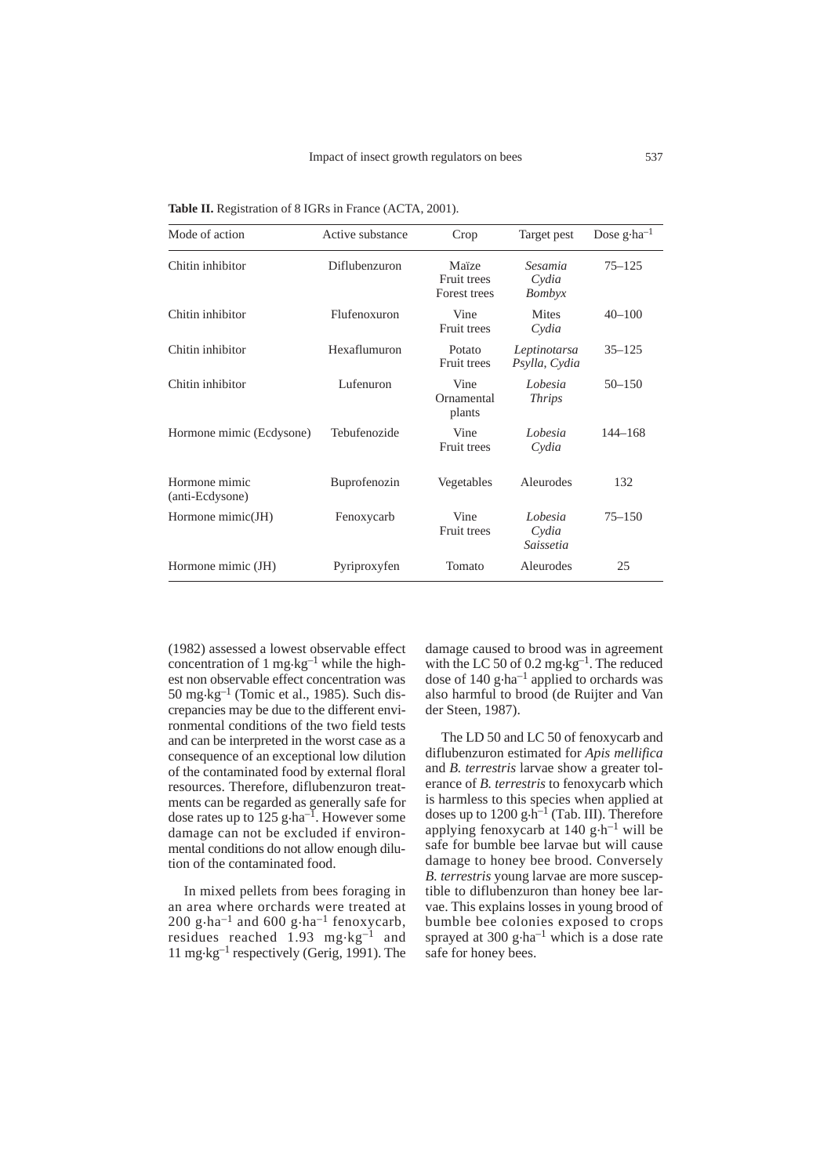| Mode of action                   | Active substance | Crop                                 | Target pest                   | Dose $g$ ·ha <sup>-1</sup> |
|----------------------------------|------------------|--------------------------------------|-------------------------------|----------------------------|
| Chitin inhibitor                 | Diflubenzuron    | Maïze<br>Fruit trees<br>Forest trees | Sesamia<br>Cydia<br>Bombyx    | $75 - 125$                 |
| Chitin inhibitor                 | Flufenoxuron     | Vine<br>Fruit trees                  | <b>Mites</b><br>Cydia         | $40 - 100$                 |
| Chitin inhibitor                 | Hexaflumuron     | Potato<br>Fruit trees                | Leptinotarsa<br>Psylla, Cydia | $35 - 125$                 |
| Chitin inhibitor                 | Lufenuron        | Vine<br>Ornamental<br>plants         | Lobesia<br><i>Thrips</i>      | $50 - 150$                 |
| Hormone mimic (Ecdysone)         | Tebufenozide     | Vine<br>Fruit trees                  | Lobesia<br>Cydia              | $144 - 168$                |
| Hormone mimic<br>(anti-Ecdysone) | Buprofenozin     | Vegetables                           | Aleurodes                     | 132                        |
| Hormone mimic(JH)                | Fenoxycarb       | Vine<br>Fruit trees                  | Lobesia<br>Cydia<br>Saissetia | $75 - 150$                 |
| Hormone mimic (JH)               | Pyriproxyfen     | Tomato                               | Aleurodes                     | 25                         |

**Table II.** Registration of 8 IGRs in France (ACTA, 2001).

(1982) assessed a lowest observable effect concentration of 1 mg $\text{kg}^{-1}$  while the highest non observable effect concentration was 50 mg.kg–1 (Tomic et al., 1985). Such discrepancies may be due to the different environmental conditions of the two field tests and can be interpreted in the worst case as a consequence of an exceptional low dilution of the contaminated food by external floral resources. Therefore, diflubenzuron treatments can be regarded as generally safe for dose rates up to  $125$  g $\cdot$ ha<sup>-1</sup>. However some damage can not be excluded if environmental conditions do not allow enough dilution of the contaminated food.

In mixed pellets from bees foraging in an area where orchards were treated at 200 g $\cdot$ ha<sup>-1</sup> and 600 g $\cdot$ ha<sup>-1</sup> fenoxycarb, residues reached 1.93 mg.kg–1 and 11 mg.kg–1 respectively (Gerig, 1991). The

damage caused to brood was in agreement with the LC 50 of 0.2 mg·kg<sup>-1</sup>. The reduced dose of 140 g·ha<sup>-1</sup> applied to orchards was also harmful to brood (de Ruijter and Van der Steen, 1987).

The LD 50 and LC 50 of fenoxycarb and diflubenzuron estimated for *Apis mellifica* and *B. terrestris* larvae show a greater tolerance of *B. terrestris* to fenoxycarb which is harmless to this species when applied at doses up to  $1200 \text{ g} \cdot \text{h}^{-1}$  (Tab. III). Therefore applying fenoxycarb at  $140 \text{ g} \cdot \text{h}^{-1}$  will be safe for bumble bee larvae but will cause damage to honey bee brood. Conversely *B. terrestris* young larvae are more susceptible to diflubenzuron than honey bee larvae. This explains losses in young brood of bumble bee colonies exposed to crops sprayed at  $300 \text{ g} \cdot \text{ha}^{-1}$  which is a dose rate safe for honey bees.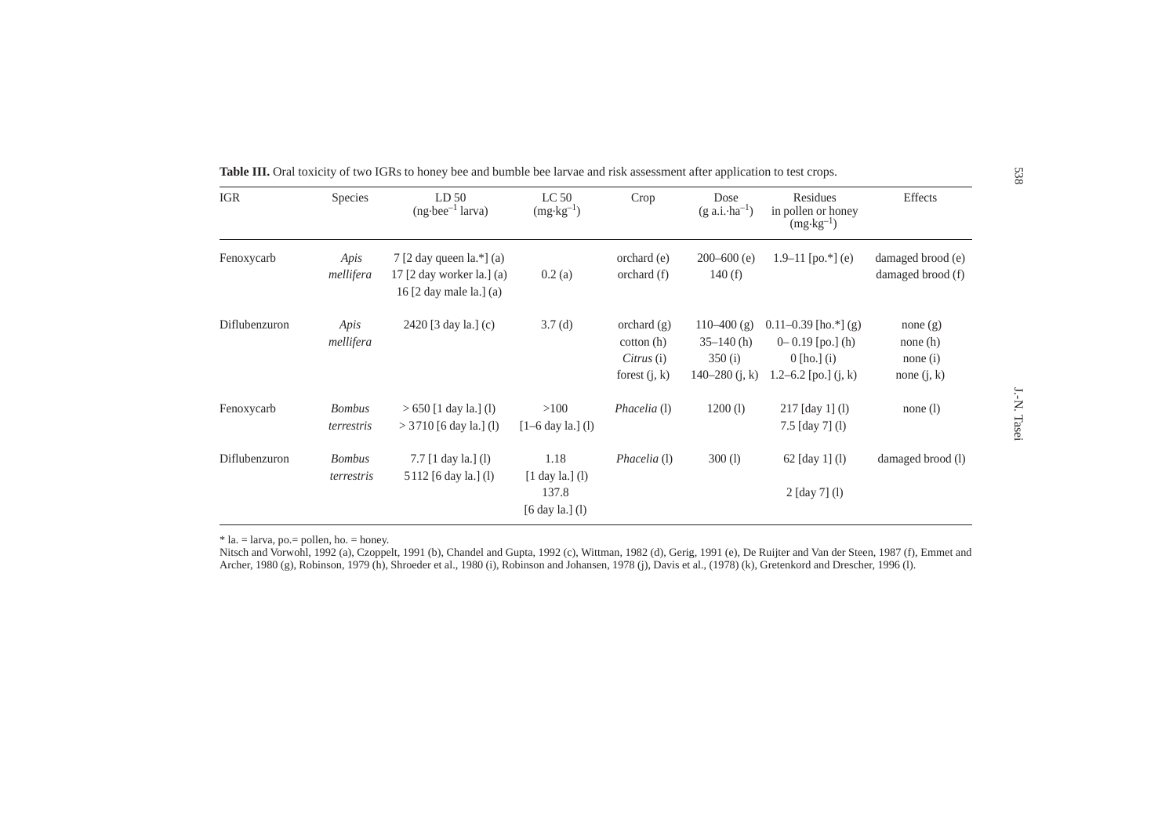| <b>IGR</b>    | Species                     | LD <sub>50</sub><br>$(ng\cdot bee^{-1}$ larva)                                                                                           | LC <sub>50</sub><br>$(mg \cdot kg^{-1})$                                   | Crop                                                            | Dose<br>$(g \text{ a.i} \cdot \text{ha}^{-1})$              | Residues<br>in pollen or honey<br>$(mg \cdot kg^{-1})$                                      | Effects                                                 |
|---------------|-----------------------------|------------------------------------------------------------------------------------------------------------------------------------------|----------------------------------------------------------------------------|-----------------------------------------------------------------|-------------------------------------------------------------|---------------------------------------------------------------------------------------------|---------------------------------------------------------|
| Fenoxycarb    | Apis<br>mellifera           | 7 [2 day queen $\lbrack a.* \rbrack$ (a)<br>17 $\lceil 2 \rceil$ day worker la. $\lceil (a) \rceil$<br>16 $[2 \text{ day male la.}]$ (a) | 0.2(a)                                                                     | orchard(e)<br>orchard(f)                                        | $200 - 600$ (e)<br>140(f)                                   | $1.9-11$ [po.*] (e)                                                                         | damaged brood (e)<br>damaged brood (f)                  |
| Diflubenzuron | Apis<br>mellifera           | 2420 [3 day la.] (c)                                                                                                                     | 3.7(d)                                                                     | orchard $(g)$<br>$\cot(\theta)$<br>Citrus(i)<br>forest $(j, k)$ | $110-400$ (g)<br>$35-140$ (h)<br>350(i)<br>140–280 $(j, k)$ | $0.11 - 0.39$ [ho.*] (g)<br>$0 - 0.19$ [po.] (h)<br>$0$ [ho.] (i)<br>1.2–6.2 [po.] $(i, k)$ | none $(g)$<br>none $(h)$<br>none $(i)$<br>none $(i, k)$ |
| Fenoxycarb    | <b>Bombus</b><br>terrestris | $> 650$ [1 day la.] (1)<br>$>$ 3710 [6 day la.] (1)                                                                                      | >100<br>$[1-6 \text{ day la.}]$ (l)                                        | Phacelia (1)                                                    | 1200(l)                                                     | $217$ [day 1] (l)<br>$7.5$ [day 7] (l)                                                      | none $(l)$                                              |
| Diflubenzuron | <b>Bombus</b><br>terrestris | 7.7 $[1 \text{ day } la.]$ (1)<br>5 112 [6 day la.] (1)                                                                                  | 1.18<br>$[1 \text{ day } la.]$ (l)<br>137.8<br>$[6 \text{ day la.}]$ $(l)$ | Phacelia (1)                                                    | 300(l)                                                      | 62 $\lceil \text{day } 1 \rceil$ (1)<br>2 [day 7] (l)                                       | damaged brood (1)                                       |

\* la. = larva, po.= pollen, ho. = honey.

Nitsch and Vorwohl, 1992 (a), Czoppelt, 1991 (b), Chandel and Gupta, 1992 (c), Wittman, 1982 (d), Gerig, 1991 (e), De Ruijter and Van der Steen, 1987 (f), Emmet and Archer, 1980 (g), Robinson, 1979 (h), Shroeder et al., 1980 (i), Robinson and Johansen, 1978 (j), Davis et al., (1978) (k), Gretenkord and Drescher, 1996 (l).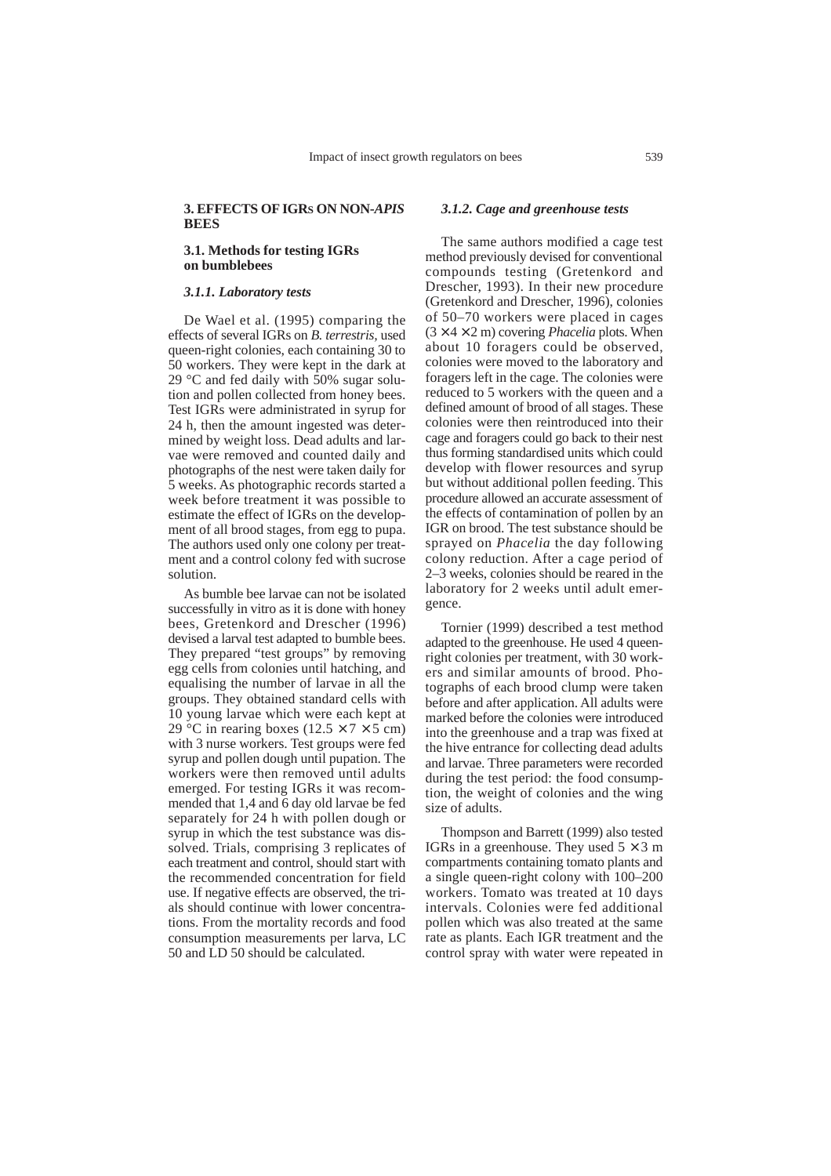## **3. EFFECTS OF IGRS ON NON-***APIS* **BEES**

## **3.1. Methods for testing IGRs on bumblebees**

## *3.1.1. Laboratory tests*

De Wael et al. (1995) comparing the effects of several IGRs on *B. terrestris,* used queen-right colonies, each containing 30 to 50 workers. They were kept in the dark at 29 °C and fed daily with 50% sugar solution and pollen collected from honey bees. Test IGRs were administrated in syrup for 24 h, then the amount ingested was determined by weight loss. Dead adults and larvae were removed and counted daily and photographs of the nest were taken daily for 5 weeks. As photographic records started a week before treatment it was possible to estimate the effect of IGRs on the development of all brood stages, from egg to pupa. The authors used only one colony per treatment and a control colony fed with sucrose solution.

As bumble bee larvae can not be isolated successfully in vitro as it is done with honey bees, Gretenkord and Drescher (1996) devised a larval test adapted to bumble bees. They prepared "test groups" by removing egg cells from colonies until hatching, and equalising the number of larvae in all the groups. They obtained standard cells with 10 young larvae which were each kept at 29 °C in rearing boxes ( $12.5 \times 7 \times 5$  cm) with 3 nurse workers. Test groups were fed syrup and pollen dough until pupation. The workers were then removed until adults emerged. For testing IGRs it was recommended that 1,4 and 6 day old larvae be fed separately for 24 h with pollen dough or syrup in which the test substance was dissolved. Trials, comprising 3 replicates of each treatment and control, should start with the recommended concentration for field use. If negative effects are observed, the trials should continue with lower concentrations. From the mortality records and food consumption measurements per larva, LC 50 and LD 50 should be calculated.

#### *3.1.2. Cage and greenhouse tests*

The same authors modified a cage test method previously devised for conventional compounds testing (Gretenkord and Drescher, 1993). In their new procedure (Gretenkord and Drescher, 1996), colonies of 50–70 workers were placed in cages  $(3 \times 4 \times 2 \text{ m})$  covering *Phacelia* plots. When about 10 foragers could be observed, colonies were moved to the laboratory and foragers left in the cage. The colonies were reduced to 5 workers with the queen and a defined amount of brood of all stages. These colonies were then reintroduced into their cage and foragers could go back to their nest thus forming standardised units which could develop with flower resources and syrup but without additional pollen feeding. This procedure allowed an accurate assessment of the effects of contamination of pollen by an IGR on brood. The test substance should be sprayed on *Phacelia* the day following colony reduction. After a cage period of 2–3 weeks, colonies should be reared in the laboratory for 2 weeks until adult emergence.

Tornier (1999) described a test method adapted to the greenhouse. He used 4 queenright colonies per treatment, with 30 workers and similar amounts of brood. Photographs of each brood clump were taken before and after application. All adults were marked before the colonies were introduced into the greenhouse and a trap was fixed at the hive entrance for collecting dead adults and larvae. Three parameters were recorded during the test period: the food consumption, the weight of colonies and the wing size of adults.

Thompson and Barrett (1999) also tested IGRs in a greenhouse. They used  $5 \times 3$  m compartments containing tomato plants and a single queen-right colony with 100–200 workers. Tomato was treated at 10 days intervals. Colonies were fed additional pollen which was also treated at the same rate as plants. Each IGR treatment and the control spray with water were repeated in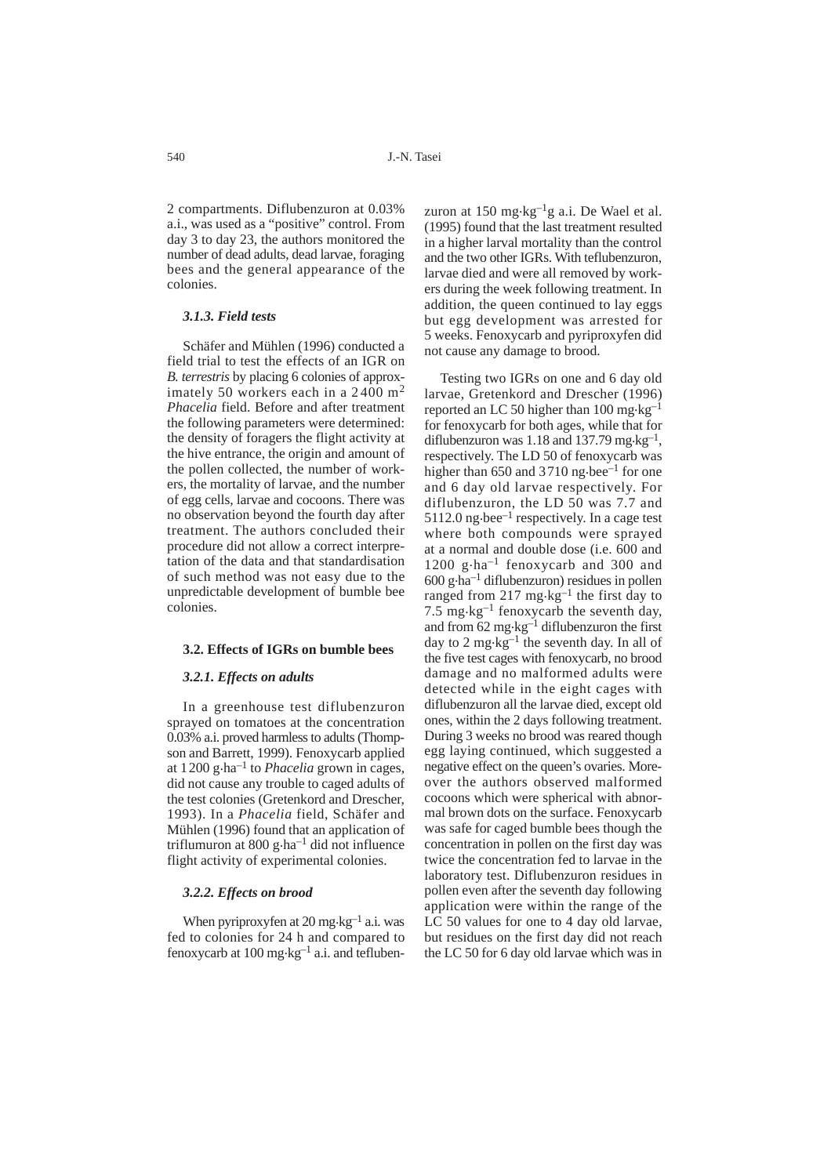2 compartments. Diflubenzuron at 0.03% a.i., was used as a "positive" control. From day 3 to day 23, the authors monitored the number of dead adults, dead larvae, foraging bees and the general appearance of the colonies.

#### *3.1.3. Field tests*

Schäfer and Mühlen (1996) conducted a field trial to test the effects of an IGR on *B. terrestris* by placing 6 colonies of approximately 50 workers each in a 2400 m<sup>2</sup> *Phacelia* field. Before and after treatment the following parameters were determined: the density of foragers the flight activity at the hive entrance, the origin and amount of the pollen collected, the number of workers, the mortality of larvae, and the number of egg cells, larvae and cocoons. There was no observation beyond the fourth day after treatment. The authors concluded their procedure did not allow a correct interpretation of the data and that standardisation of such method was not easy due to the unpredictable development of bumble bee colonies.

#### **3.2. Effects of IGRs on bumble bees**

#### *3.2.1. Effects on adults*

In a greenhouse test diflubenzuron sprayed on tomatoes at the concentration 0.03% a.i. proved harmless to adults (Thompson and Barrett, 1999). Fenoxycarb applied at 1200 g.ha–1 to *Phacelia* grown in cages, did not cause any trouble to caged adults of the test colonies (Gretenkord and Drescher, 1993). In a *Phacelia* field, Schäfer and Mühlen (1996) found that an application of triflumuron at  $800 g \cdot ha^{-1}$  did not influence flight activity of experimental colonies.

## *3.2.2. Effects on brood*

When pyriproxyfen at  $20 \text{ mg} \cdot \text{kg}^{-1}$  a.i. was fed to colonies for 24 h and compared to fenoxycarb at 100 mg $\text{kg}^{-1}$  a.i. and teflubenzuron at 150 mg $\text{kg}^{-1}\text{g}$  a.i. De Wael et al. (1995) found that the last treatment resulted in a higher larval mortality than the control and the two other IGRs. With teflubenzuron, larvae died and were all removed by workers during the week following treatment. In addition, the queen continued to lay eggs but egg development was arrested for 5 weeks. Fenoxycarb and pyriproxyfen did not cause any damage to brood.

Testing two IGRs on one and 6 day old larvae, Gretenkord and Drescher (1996) reported an LC 50 higher than  $100 \text{ mg} \cdot \text{kg}^{-1}$ for fenoxycarb for both ages, while that for diflubenzuron was 1.18 and 137.79 mg $\text{kg}^{-1}$ , respectively. The LD 50 of fenoxycarb was higher than 650 and 3710 ng $\cdot$ bee<sup>-1</sup> for one and 6 day old larvae respectively. For diflubenzuron, the LD 50 was 7.7 and 5112.0 ng $\cdot$ bee<sup>-1</sup> respectively. In a cage test where both compounds were sprayed at a normal and double dose (i.e. 600 and 1200 g.ha–1 fenoxycarb and 300 and  $600$  g $\cdot$ ha<sup>-1</sup> diflubenzuron) residues in pollen ranged from  $217 \text{ mg} \cdot \text{kg}^{-1}$  the first day to 7.5 mg $\text{kg}^{-1}$  fenoxycarb the seventh day, and from  $62 \text{ mg} \cdot \text{kg}^{-1}$  diflubenzuron the first day to 2 mg $\cdot$ kg<sup>-1</sup> the seventh day. In all of the five test cages with fenoxycarb, no brood damage and no malformed adults were detected while in the eight cages with diflubenzuron all the larvae died, except old ones, within the 2 days following treatment. During 3 weeks no brood was reared though egg laying continued, which suggested a negative effect on the queen's ovaries. Moreover the authors observed malformed cocoons which were spherical with abnormal brown dots on the surface. Fenoxycarb was safe for caged bumble bees though the concentration in pollen on the first day was twice the concentration fed to larvae in the laboratory test. Diflubenzuron residues in pollen even after the seventh day following application were within the range of the LC 50 values for one to 4 day old larvae, but residues on the first day did not reach the LC 50 for 6 day old larvae which was in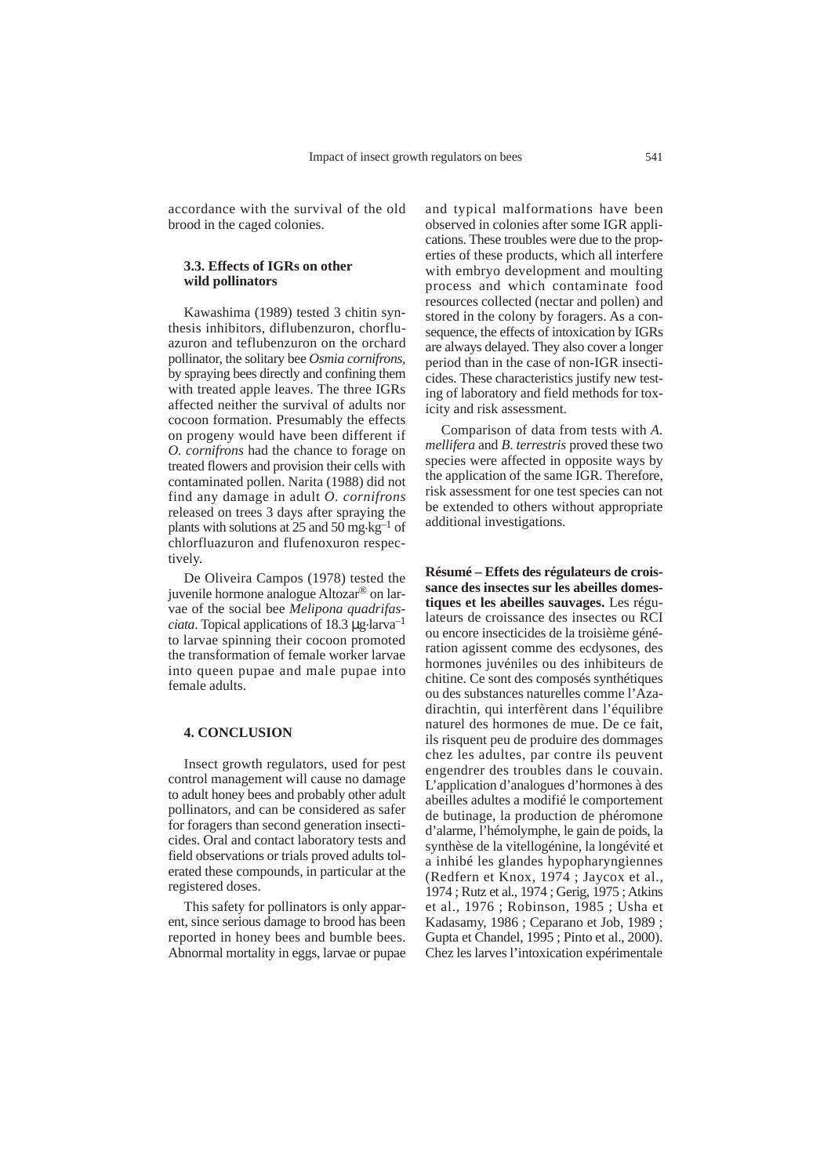accordance with the survival of the old brood in the caged colonies.

## **3.3. Effects of IGRs on other wild pollinators**

Kawashima (1989) tested 3 chitin synthesis inhibitors, diflubenzuron, chorfluazuron and teflubenzuron on the orchard pollinator, the solitary bee *Osmia cornifrons,* by spraying bees directly and confining them with treated apple leaves. The three IGRs affected neither the survival of adults nor cocoon formation. Presumably the effects on progeny would have been different if *O. cornifrons* had the chance to forage on treated flowers and provision their cells with contaminated pollen. Narita (1988) did not find any damage in adult *O. cornifrons* released on trees 3 days after spraying the plants with solutions at 25 and 50 mg·kg<sup>-1</sup> of chlorfluazuron and flufenoxuron respectively.

De Oliveira Campos (1978) tested the juvenile hormone analogue Altozar® on larvae of the social bee *Melipona quadrifasciata*. Topical applications of 18.3 µg.larva–1 to larvae spinning their cocoon promoted the transformation of female worker larvae into queen pupae and male pupae into female adults.

#### **4. CONCLUSION**

Insect growth regulators, used for pest control management will cause no damage to adult honey bees and probably other adult pollinators, and can be considered as safer for foragers than second generation insecticides. Oral and contact laboratory tests and field observations or trials proved adults tolerated these compounds, in particular at the registered doses.

This safety for pollinators is only apparent, since serious damage to brood has been reported in honey bees and bumble bees. Abnormal mortality in eggs, larvae or pupae and typical malformations have been observed in colonies after some IGR applications. These troubles were due to the properties of these products, which all interfere with embryo development and moulting process and which contaminate food resources collected (nectar and pollen) and stored in the colony by foragers. As a consequence, the effects of intoxication by IGRs are always delayed. They also cover a longer period than in the case of non-IGR insecticides. These characteristics justify new testing of laboratory and field methods for toxicity and risk assessment.

Comparison of data from tests with *A. mellifera* and *B*. *terrestris* proved these two species were affected in opposite ways by the application of the same IGR. Therefore, risk assessment for one test species can not be extended to others without appropriate additional investigations.

**Résumé – Effets des régulateurs de croissance des insectes sur les abeilles domestiques et les abeilles sauvages.** Les régulateurs de croissance des insectes ou RCI ou encore insecticides de la troisième génération agissent comme des ecdysones, des hormones juvéniles ou des inhibiteurs de chitine. Ce sont des composés synthétiques ou des substances naturelles comme l'Azadirachtin, qui interfèrent dans l'équilibre naturel des hormones de mue. De ce fait, ils risquent peu de produire des dommages chez les adultes, par contre ils peuvent engendrer des troubles dans le couvain. L'application d'analogues d'hormones à des abeilles adultes a modifié le comportement de butinage, la production de phéromone d'alarme, l'hémolymphe, le gain de poids, la synthèse de la vitellogénine, la longévité et a inhibé les glandes hypopharyngiennes (Redfern et Knox, 1974 ; Jaycox et al., 1974 ; Rutz et al., 1974 ; Gerig, 1975 ; Atkins et al., 1976 ; Robinson, 1985 ; Usha et Kadasamy, 1986 ; Ceparano et Job, 1989 ; Gupta et Chandel, 1995 ; Pinto et al., 2000). Chez les larves l'intoxication expérimentale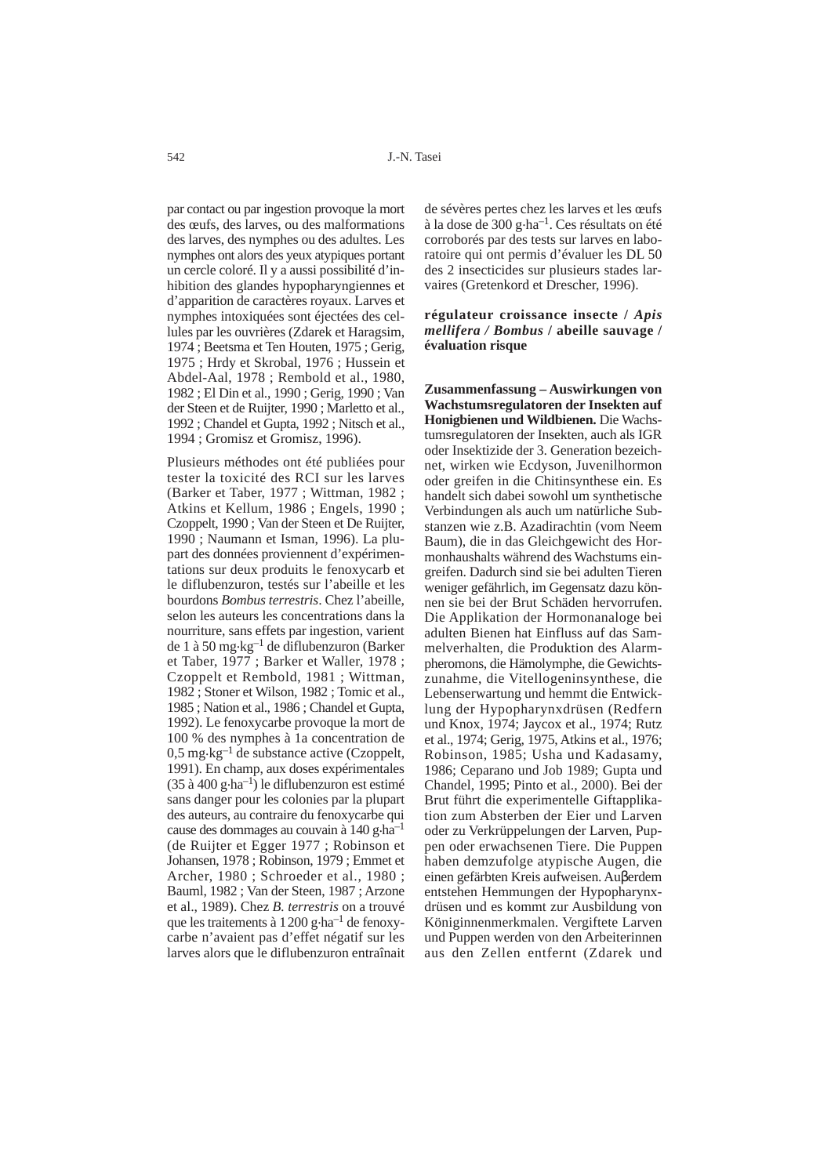par contact ou par ingestion provoque la mort des œufs, des larves, ou des malformations des larves, des nymphes ou des adultes. Les nymphes ont alors des yeux atypiques portant un cercle coloré. Il y a aussi possibilité d'inhibition des glandes hypopharyngiennes et d'apparition de caractères royaux. Larves et nymphes intoxiquées sont éjectées des cellules par les ouvrières (Zdarek et Haragsim, 1974 ; Beetsma et Ten Houten, 1975 ; Gerig, 1975 ; Hrdy et Skrobal, 1976 ; Hussein et Abdel-Aal, 1978 ; Rembold et al., 1980, 1982 ; El Din et al., 1990 ; Gerig, 1990 ; Van der Steen et de Ruijter, 1990 ; Marletto et al., 1992 ; Chandel et Gupta, 1992 ; Nitsch et al., 1994 ; Gromisz et Gromisz, 1996).

Plusieurs méthodes ont été publiées pour tester la toxicité des RCI sur les larves (Barker et Taber, 1977 ; Wittman, 1982 ; Atkins et Kellum, 1986 ; Engels, 1990 ; Czoppelt, 1990 ; Van der Steen et De Ruijter, 1990 ; Naumann et Isman, 1996). La plupart des données proviennent d'expérimentations sur deux produits le fenoxycarb et le diflubenzuron, testés sur l'abeille et les bourdons *Bombus terrestris*. Chez l'abeille, selon les auteurs les concentrations dans la nourriture, sans effets par ingestion, varient de 1 à 50 mg $\text{kg}^{-1}$  de diflubenzuron (Barker et Taber, 1977 ; Barker et Waller, 1978 ; Czoppelt et Rembold, 1981 ; Wittman, 1982 ; Stoner et Wilson, 1982 ; Tomic et al., 1985 ; Nation et al., 1986 ; Chandel et Gupta, 1992). Le fenoxycarbe provoque la mort de 100 % des nymphes à 1a concentration de  $0.5 \text{ mg} \cdot \text{kg}^{-1}$  de substance active (Czoppelt, 1991). En champ, aux doses expérimentales  $(35 \text{ à } 400 \text{ g} \cdot \text{ha}^{-1})$  le diflubenzuron est estimé sans danger pour les colonies par la plupart des auteurs, au contraire du fenoxycarbe qui cause des dommages au couvain à 140 g.ha–1 (de Ruijter et Egger 1977 ; Robinson et Johansen, 1978 ; Robinson, 1979 ; Emmet et Archer, 1980 ; Schroeder et al., 1980 ; Bauml, 1982 ; Van der Steen, 1987 ; Arzone et al., 1989). Chez *B. terrestris* on a trouvé que les traitements à 1200 g $\cdot$ ha<sup>-1</sup> de fenoxycarbe n'avaient pas d'effet négatif sur les larves alors que le diflubenzuron entraînait de sévères pertes chez les larves et les œufs à la dose de 300 g.ha–1. Ces résultats on été corroborés par des tests sur larves en laboratoire qui ont permis d'évaluer les DL 50 des 2 insecticides sur plusieurs stades larvaires (Gretenkord et Drescher, 1996).

## **régulateur croissance insecte /** *Apis mellifera / Bombus* **/ abeille sauvage / évaluation risque**

**Zusammenfassung – Auswirkungen von Wachstumsregulatoren der Insekten auf Honigbienen und Wildbienen.** Die Wachstumsregulatoren der Insekten, auch als IGR oder Insektizide der 3. Generation bezeichnet, wirken wie Ecdyson, Juvenilhormon oder greifen in die Chitinsynthese ein. Es handelt sich dabei sowohl um synthetische Verbindungen als auch um natürliche Substanzen wie z.B. Azadirachtin (vom Neem Baum), die in das Gleichgewicht des Hormonhaushalts während des Wachstums eingreifen. Dadurch sind sie bei adulten Tieren weniger gefährlich, im Gegensatz dazu können sie bei der Brut Schäden hervorrufen. Die Applikation der Hormonanaloge bei adulten Bienen hat Einfluss auf das Sammelverhalten, die Produktion des Alarmpheromons, die Hämolymphe, die Gewichtszunahme, die Vitellogeninsynthese, die Lebenserwartung und hemmt die Entwicklung der Hypopharynxdrüsen (Redfern und Knox, 1974; Jaycox et al., 1974; Rutz et al., 1974; Gerig, 1975, Atkins et al., 1976; Robinson, 1985; Usha und Kadasamy, 1986; Ceparano und Job 1989; Gupta und Chandel, 1995; Pinto et al., 2000). Bei der Brut führt die experimentelle Giftapplikation zum Absterben der Eier und Larven oder zu Verkrüppelungen der Larven, Puppen oder erwachsenen Tiere. Die Puppen haben demzufolge atypische Augen, die einen gefärbten Kreis aufweisen. Auβerdem entstehen Hemmungen der Hypopharynxdrüsen und es kommt zur Ausbildung von Königinnenmerkmalen. Vergiftete Larven und Puppen werden von den Arbeiterinnen aus den Zellen entfernt (Zdarek und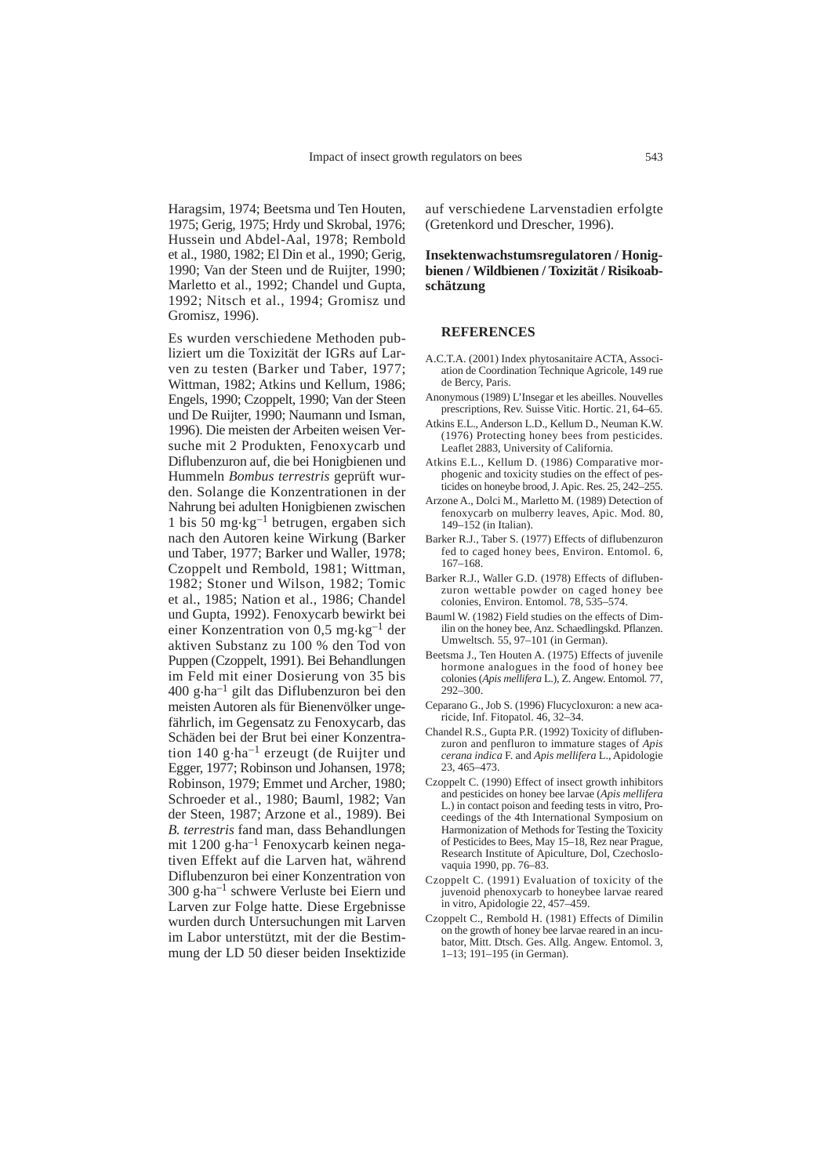Haragsim, 1974; Beetsma und Ten Houten, 1975; Gerig, 1975; Hrdy und Skrobal, 1976; Hussein und Abdel-Aal, 1978; Rembold et al., 1980, 1982; El Din et al., 1990; Gerig, 1990; Van der Steen und de Ruijter, 1990; Marletto et al., 1992; Chandel und Gupta, 1992; Nitsch et al., 1994; Gromisz und Gromisz, 1996).

Es wurden verschiedene Methoden publiziert um die Toxizität der IGRs auf Larven zu testen (Barker und Taber, 1977; Wittman, 1982; Atkins und Kellum, 1986; Engels, 1990; Czoppelt, 1990; Van der Steen und De Ruijter, 1990; Naumann und Isman, 1996). Die meisten der Arbeiten weisen Versuche mit 2 Produkten, Fenoxycarb und Diflubenzuron auf, die bei Honigbienen und Hummeln *Bombus terrestris* geprüft wurden. Solange die Konzentrationen in der Nahrung bei adulten Honigbienen zwischen 1 bis 50 mg·kg<sup>-1</sup> betrugen, ergaben sich nach den Autoren keine Wirkung (Barker und Taber, 1977; Barker und Waller, 1978; Czoppelt und Rembold, 1981; Wittman, 1982; Stoner und Wilson, 1982; Tomic et al., 1985; Nation et al., 1986; Chandel und Gupta, 1992). Fenoxycarb bewirkt bei einer Konzentration von 0,5 mg.kg–1 der aktiven Substanz zu 100 % den Tod von Puppen (Czoppelt, 1991). Bei Behandlungen im Feld mit einer Dosierung von 35 bis  $400$  g·ha<sup>-1</sup> gilt das Diflubenzuron bei den meisten Autoren als für Bienenvölker ungefährlich, im Gegensatz zu Fenoxycarb, das Schäden bei der Brut bei einer Konzentration  $140$  g $\cdot$ ha<sup>-1</sup> erzeugt (de Ruijter und Egger, 1977; Robinson und Johansen, 1978; Robinson, 1979; Emmet und Archer, 1980; Schroeder et al., 1980; Bauml, 1982; Van der Steen, 1987; Arzone et al., 1989). Bei *B. terrestris* fand man, dass Behandlungen mit 1200 g.ha–1 Fenoxycarb keinen negativen Effekt auf die Larven hat, während Diflubenzuron bei einer Konzentration von 300 g.ha–1 schwere Verluste bei Eiern und Larven zur Folge hatte. Diese Ergebnisse wurden durch Untersuchungen mit Larven im Labor unterstützt, mit der die Bestimmung der LD 50 dieser beiden Insektizide

auf verschiedene Larvenstadien erfolgte (Gretenkord und Drescher, 1996).

## **Insektenwachstumsregulatoren / Honigbienen / Wildbienen / Toxizität / Risikoabschätzung**

#### **REFERENCES**

- A.C.T.A. (2001) Index phytosanitaire ACTA, Association de Coordination Technique Agricole, 149 rue de Bercy, Paris.
- Anonymous (1989) L'Insegar et les abeilles. Nouvelles prescriptions, Rev. Suisse Vitic. Hortic. 21, 64–65.
- Atkins E.L., Anderson L.D., Kellum D., Neuman K.W. (1976) Protecting honey bees from pesticides*.* Leaflet 2883, University of California.
- Atkins E.L., Kellum D. (1986) Comparative morphogenic and toxicity studies on the effect of pesticides on honeybe brood, J. Apic. Res. 25, 242–255.
- Arzone A., Dolci M., Marletto M. (1989) Detection of fenoxycarb on mulberry leaves, Apic. Mod. 80, 149–152 (in Italian).
- Barker R.J., Taber S. (1977) Effects of diflubenzuron fed to caged honey bees, Environ. Entomol. 6, 167–168.
- Barker R.J., Waller G.D. (1978) Effects of diflubenzuron wettable powder on caged honey bee colonies, Environ. Entomol. 78, 535–574.
- Bauml W. (1982) Field studies on the effects of Dimilin on the honey bee, Anz. Schaedlingskd. Pflanzen. Umweltsch*.* 55, 97–101 (in German).
- Beetsma J., Ten Houten A. (1975) Effects of juvenile hormone analogues in the food of honey bee colonies (*Apis mellifera* L.), Z. Angew. Entomol*.* 77, 292–300.
- Ceparano G., Job S. (1996) Flucycloxuron: a new acaricide, Inf. Fitopatol. 46, 32–34.
- Chandel R.S., Gupta P.R. (1992) Toxicity of diflubenzuron and penfluron to immature stages of *Apis cerana indica* F. and *Apis mellifera* L., Apidologie 23, 465–473.
- Czoppelt C. (1990) Effect of insect growth inhibitors and pesticides on honey bee larvae (*Apis mellifera* L.) in contact poison and feeding tests in vitro, Proceedings of the 4th International Symposium on Harmonization of Methods for Testing the Toxicity of Pesticides to Bees, May 15–18, Rez near Prague, Research Institute of Apiculture, Dol, Czechoslovaquia 1990, pp. 76–83.
- Czoppelt C. (1991) Evaluation of toxicity of the juvenoid phenoxycarb to honeybee larvae reared in vitro, Apidologie 22, 457–459.
- Czoppelt C., Rembold H. (1981) Effects of Dimilin on the growth of honey bee larvae reared in an incubator, Mitt. Dtsch. Ges. Allg. Angew. Entomol. 3, 1–13; 191–195 (in German).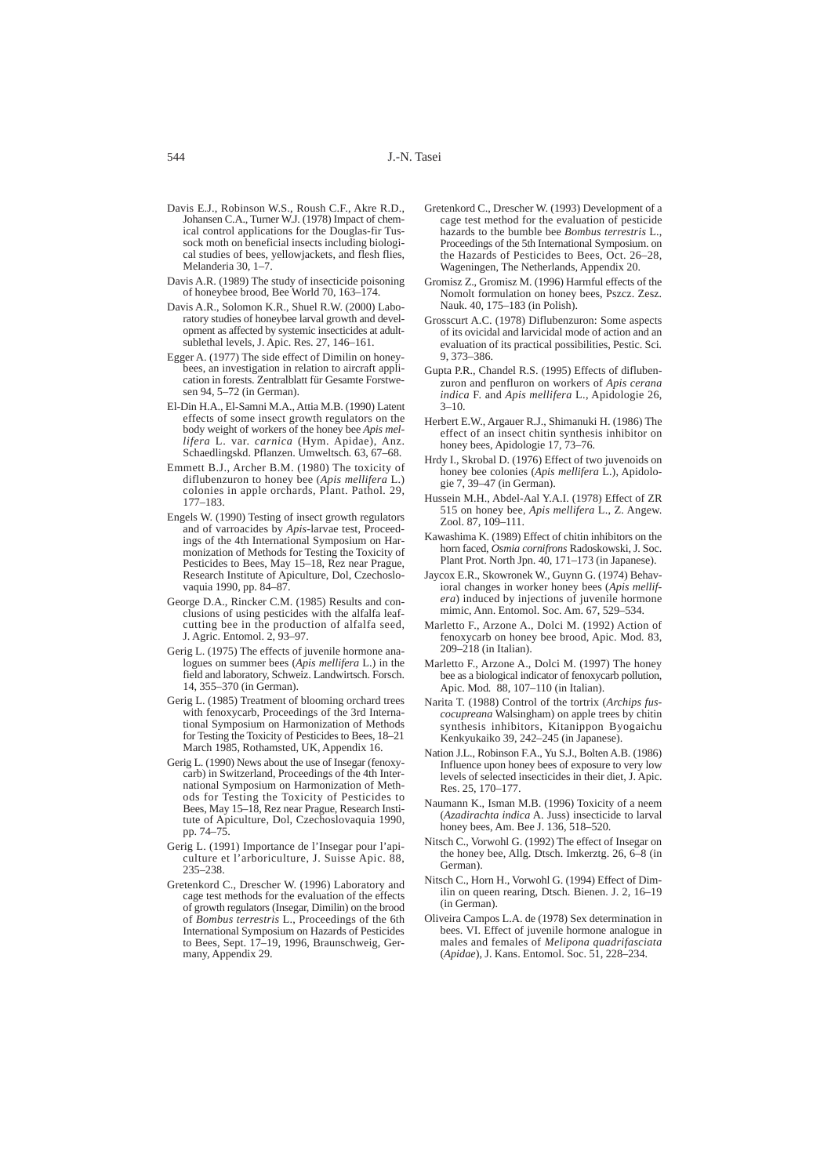- Davis E.J., Robinson W.S., Roush C.F., Akre R.D., Johansen C.A., Turner W.J. (1978) Impact of chemical control applications for the Douglas-fir Tussock moth on beneficial insects including biological studies of bees, yellowjackets, and flesh flies, Melanderia 30, 1–7.
- Davis A.R. (1989) The study of insecticide poisoning of honeybee brood, Bee World 70, 163–174.
- Davis A.R., Solomon K.R., Shuel R.W. (2000) Laboratory studies of honeybee larval growth and development as affected by systemic insecticides at adultsublethal levels, J. Apic. Res. 27, 146–161.
- Egger A. (1977) The side effect of Dimilin on honeybees, an investigation in relation to aircraft application in forests. Zentralblatt für Gesamte Forstwesen 94, 5–72 (in German).
- El-Din H.A., El-Samni M.A., Attia M.B. (1990) Latent effects of some insect growth regulators on the body weight of workers of the honey bee *Apis mellifera* L. var. *carnica* (Hym. Apidae), Anz. Schaedlingskd. Pflanzen. Umweltsch*.* 63, 67–68.
- Emmett B.J., Archer B.M. (1980) The toxicity of diflubenzuron to honey bee (*Apis mellifera* L.) colonies in apple orchards, Plant. Pathol*.* 29, 177–183.
- Engels W. (1990) Testing of insect growth regulators and of varroacides by *Apis*-larvae test, Proceedings of the 4th International Symposium on Harmonization of Methods for Testing the Toxicity of Pesticides to Bees, May 15–18, Rez near Prague, Research Institute of Apiculture, Dol, Czechoslovaquia 1990, pp. 84–87.
- George D.A., Rincker C.M. (1985) Results and conclusions of using pesticides with the alfalfa leafcutting bee in the production of alfalfa seed, J. Agric. Entomol. 2, 93–97.
- Gerig L. (1975) The effects of juvenile hormone analogues on summer bees (*Apis mellifera* L.) in the field and laboratory, Schweiz. Landwirtsch. Forsch. 14, 355–370 (in German).
- Gerig L. (1985) Treatment of blooming orchard trees with fenoxycarb, Proceedings of the 3rd International Symposium on Harmonization of Methods for Testing the Toxicity of Pesticides to Bees, 18–21 March 1985, Rothamsted, UK, Appendix 16.
- Gerig L. (1990) News about the use of Insegar (fenoxycarb) in Switzerland, Proceedings of the 4th International Symposium on Harmonization of Methods for Testing the Toxicity of Pesticides to Bees, May 15–18, Rez near Prague, Research Institute of Apiculture, Dol, Czechoslovaquia 1990, pp. 74–75.
- Gerig L. (1991) Importance de l'Insegar pour l'apiculture et l'arboriculture, J. Suisse Apic. 88, 235–238.
- Gretenkord C., Drescher W. (1996) Laboratory and cage test methods for the evaluation of the effects of growth regulators (Insegar, Dimilin) on the brood of *Bombus terrestris* L., Proceedings of the 6th International Symposium on Hazards of Pesticides to Bees, Sept. 17–19, 1996, Braunschweig, Germany, Appendix 29.
- Gretenkord C., Drescher W. (1993) Development of a cage test method for the evaluation of pesticide hazards to the bumble bee *Bombus terrestris* L., Proceedings of the 5th International Symposium. on the Hazards of Pesticides to Bees, Oct. 26–28, Wageningen, The Netherlands*,* Appendix 20.
- Gromisz Z., Gromisz M. (1996) Harmful effects of the Nomolt formulation on honey bees, Pszcz. Zesz. Nauk*.* 40, 175–183 (in Polish).
- Grosscurt A.C. (1978) Diflubenzuron: Some aspects of its ovicidal and larvicidal mode of action and an evaluation of its practical possibilities, Pestic. Sci*.* 9, 373–386.
- Gupta P.R., Chandel R.S. (1995) Effects of diflubenzuron and penfluron on workers of *Apis cerana indica* F. and *Apis mellifera* L., Apidologie 26, 3–10.
- Herbert E.W., Argauer R.J., Shimanuki H. (1986) The effect of an insect chitin synthesis inhibitor on honey bees, Apidologie 17, 73–76.
- Hrdy I., Skrobal D. (1976) Effect of two juvenoids on honey bee colonies (*Apis mellifera* L.), Apidologie 7, 39–47 (in German).
- Hussein M.H., Abdel-Aal Y.A.I. (1978) Effect of ZR 515 on honey bee, *Apis mellifera* L., Z. Angew. Zool. 87, 109–111.
- Kawashima K. (1989) Effect of chitin inhibitors on the horn faced, *Osmia cornifrons* Radoskowski, J. Soc. Plant Prot. North Jpn. 40, 171–173 (in Japanese).
- Jaycox E.R., Skowronek W., Guynn G. (1974) Behavioral changes in worker honey bees (*Apis mellifera*) induced by injections of juvenile hormone mimic, Ann. Entomol. Soc. Am. 67, 529–534.
- Marletto F., Arzone A., Dolci M. (1992) Action of fenoxycarb on honey bee brood, Apic. Mod*.* 83, 209–218 (in Italian).
- Marletto F., Arzone A., Dolci M. (1997) The honey bee as a biological indicator of fenoxycarb pollution, Apic. Mod*.* 88, 107–110 (in Italian).
- Narita T. (1988) Control of the tortrix (*Archips fuscocupreana* Walsingham) on apple trees by chitin synthesis inhibitors, Kitanippon Byogaichu Kenkyukaiko 39, 242–245 (in Japanese).
- Nation J.L., Robinson F.A., Yu S.J., Bolten A.B. (1986) Influence upon honey bees of exposure to very low levels of selected insecticides in their diet, J. Apic. Res. 25, 170–177.
- Naumann K., Isman M.B. (1996) Toxicity of a neem (*Azadirachta indica* A. Juss) insecticide to larval honey bees, Am. Bee J. 136, 518–520.
- Nitsch C., Vorwohl G. (1992) The effect of Insegar on the honey bee, Allg. Dtsch. Imkerztg. 26, 6–8 (in German).
- Nitsch C., Horn H., Vorwohl G. (1994) Effect of Dimilin on queen rearing, Dtsch. Bienen. J. 2, 16–19 (in German).
- Oliveira Campos L.A. de (1978) Sex determination in bees. VI. Effect of juvenile hormone analogue in males and females of *Melipona quadrifasciata* (*Apidae*), J. Kans. Entomol. Soc. 51, 228–234.